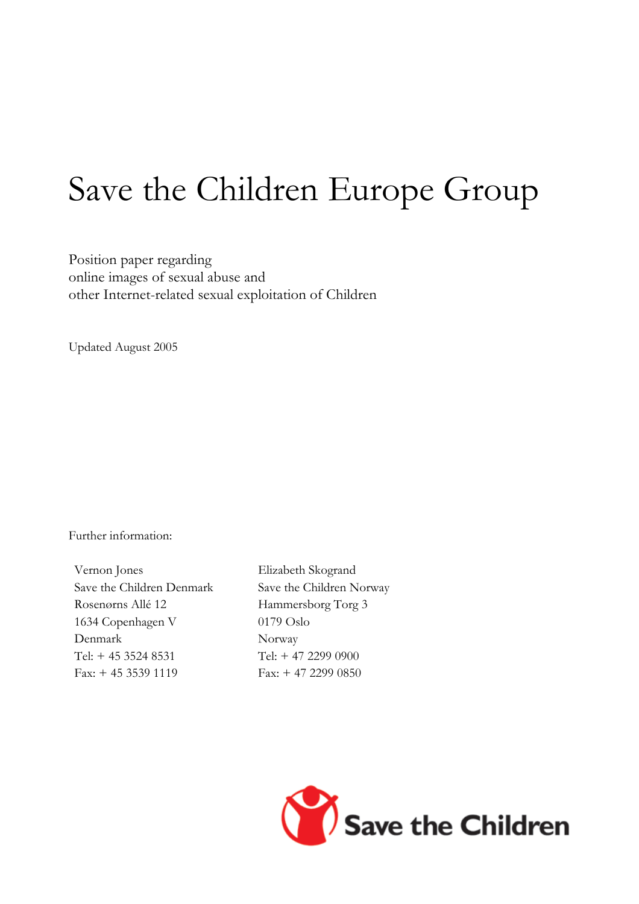# Save the Children Europe Group

Position paper regarding online images of sexual abuse and other Internet-related sexual exploitation of Children

Updated August 2005

Further information:

Vernon Jones Save the Children Denmark Rosenørns Allé 12 1634 Copenhagen V Denmark Tel: + 45 3524 8531 Fax: + 45 3539 1119

Elizabeth Skogrand Save the Children Norway Hammersborg Torg 3 0179 Oslo Norway Tel: + 47 2299 0900 Fax: + 47 2299 0850

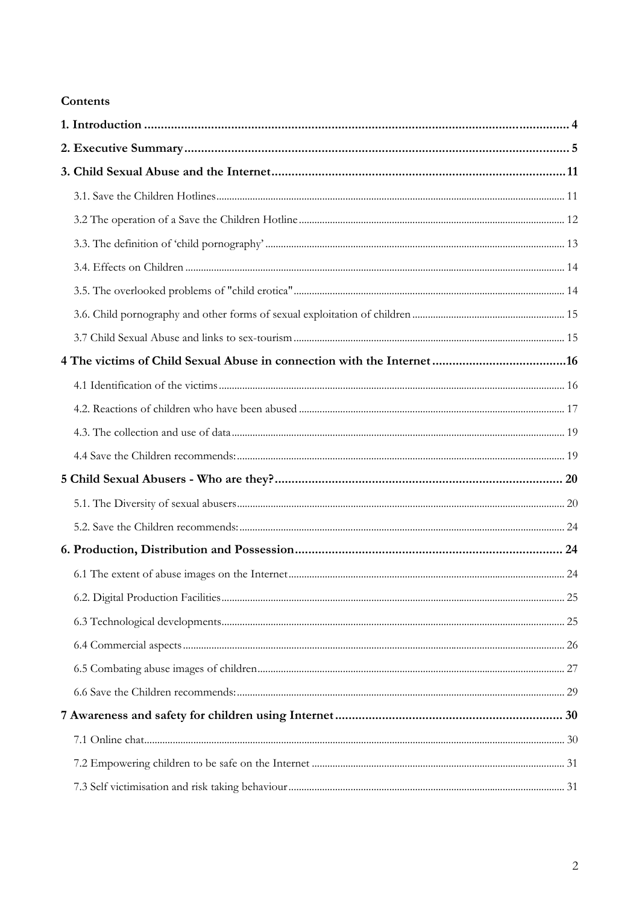#### Contents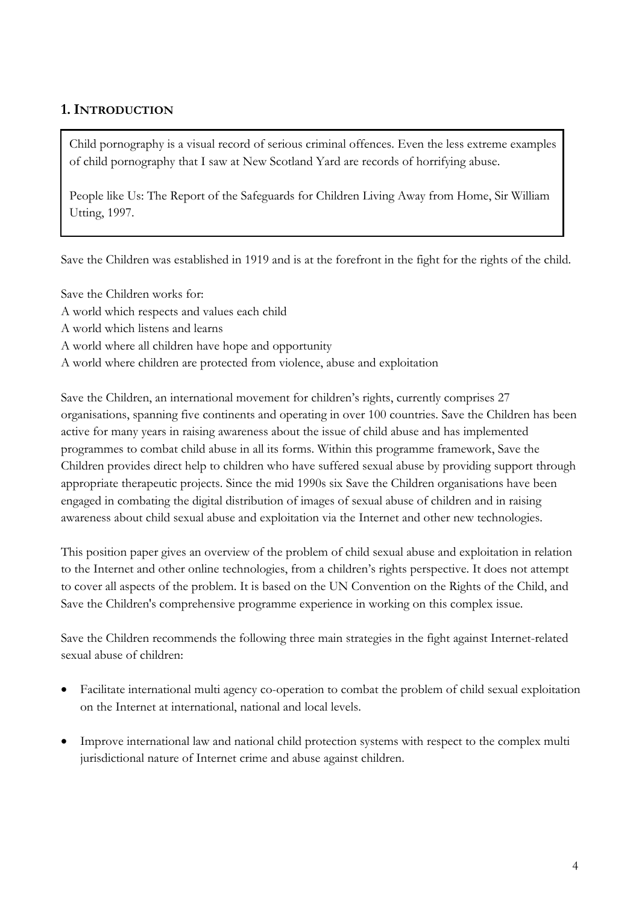## **1. INTRODUCTION**

Child pornography is a visual record of serious criminal offences. Even the less extreme examples of child pornography that I saw at New Scotland Yard are records of horrifying abuse.

People like Us: The Report of the Safeguards for Children Living Away from Home, Sir William Utting, 1997.

Save the Children was established in 1919 and is at the forefront in the fight for the rights of the child.

Save the Children works for:

- A world which respects and values each child
- A world which listens and learns
- A world where all children have hope and opportunity

A world where children are protected from violence, abuse and exploitation

Save the Children, an international movement for children's rights, currently comprises 27 organisations, spanning five continents and operating in over 100 countries. Save the Children has been active for many years in raising awareness about the issue of child abuse and has implemented programmes to combat child abuse in all its forms. Within this programme framework, Save the Children provides direct help to children who have suffered sexual abuse by providing support through appropriate therapeutic projects. Since the mid 1990s six Save the Children organisations have been engaged in combating the digital distribution of images of sexual abuse of children and in raising awareness about child sexual abuse and exploitation via the Internet and other new technologies.

This position paper gives an overview of the problem of child sexual abuse and exploitation in relation to the Internet and other online technologies, from a children's rights perspective. It does not attempt to cover all aspects of the problem. It is based on the UN Convention on the Rights of the Child, and Save the Children's comprehensive programme experience in working on this complex issue.

Save the Children recommends the following three main strategies in the fight against Internet-related sexual abuse of children:

- Facilitate international multi agency co-operation to combat the problem of child sexual exploitation on the Internet at international, national and local levels.
- Improve international law and national child protection systems with respect to the complex multi jurisdictional nature of Internet crime and abuse against children.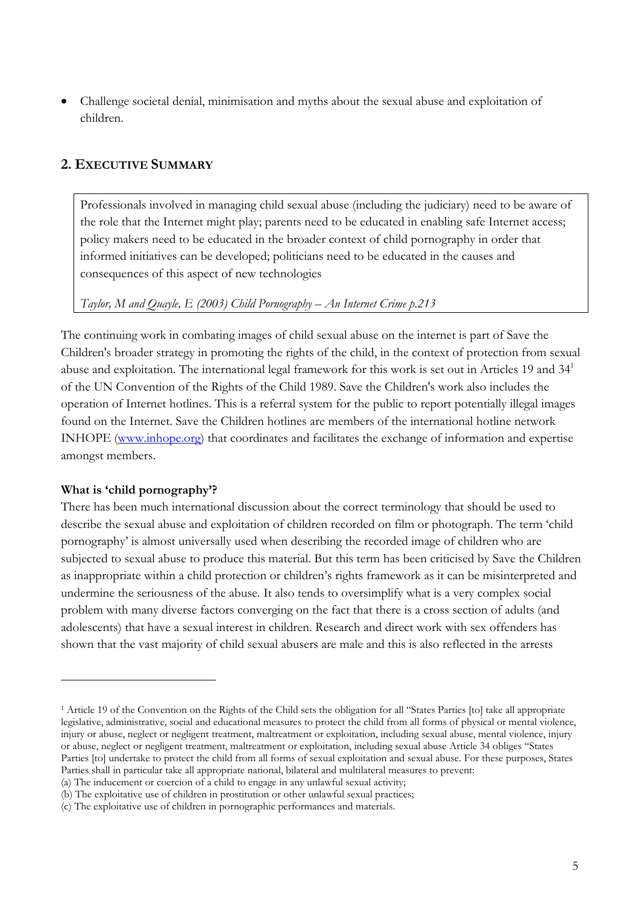• Challenge societal denial, minimisation and myths about the sexual abuse and exploitation of children.

#### **2. EXECUTIVE SUMMARY**

Professionals involved in managing child sexual abuse (including the judiciary) need to be aware of the role that the Internet might play; parents need to be educated in enabling safe Internet access; policy makers need to be educated in the broader context of child pornography in order that informed initiatives can be developed; politicians need to be educated in the causes and consequences of this aspect of new technologies

*Taylor, M and Quayle, E (2003) Child Pornography – An Internet Crime p.213* 

The continuing work in combating images of child sexual abuse on the internet is part of Save the Children's broader strategy in promoting the rights of the child, in the context of protection from sexual abuse and exploitation. The international legal framework for this work is set out in Articles 19 and 341 of the UN Convention of the Rights of the Child 1989. Save the Children's work also includes the operation of Internet hotlines. This is a referral system for the public to report potentially illegal images found on the Internet. Save the Children hotlines are members of the international hotline network INHOPE (www.inhope.org) that coordinates and facilitates the exchange of information and expertise amongst members.

#### **What is 'child pornography'?**

 $\overline{a}$ 

There has been much international discussion about the correct terminology that should be used to describe the sexual abuse and exploitation of children recorded on film or photograph. The term 'child pornography' is almost universally used when describing the recorded image of children who are subjected to sexual abuse to produce this material. But this term has been criticised by Save the Children as inappropriate within a child protection or children's rights framework as it can be misinterpreted and undermine the seriousness of the abuse. It also tends to oversimplify what is a very complex social problem with many diverse factors converging on the fact that there is a cross section of adults (and adolescents) that have a sexual interest in children. Research and direct work with sex offenders has shown that the vast majority of child sexual abusers are male and this is also reflected in the arrests

<sup>&</sup>lt;sup>1</sup> Article 19 of the Convention on the Rights of the Child sets the obligation for all "States Parties [to] take all appropriate legislative, administrative, social and educational measures to protect the child from all forms of physical or mental violence, injury or abuse, neglect or negligent treatment, maltreatment or exploitation, including sexual abuse, mental violence, injury or abuse, neglect or negligent treatment, maltreatment or exploitation, including sexual abuse Article 34 obliges "States Parties [to] undertake to protect the child from all forms of sexual exploitation and sexual abuse. For these purposes, States Parties shall in particular take all appropriate national, bilateral and multilateral measures to prevent:

<sup>(</sup>a) The inducement or coercion of a child to engage in any unlawful sexual activity;

<sup>(</sup>b) The exploitative use of children in prostitution or other unlawful sexual practices;

<sup>(</sup>c) The exploitative use of children in pornographic performances and materials.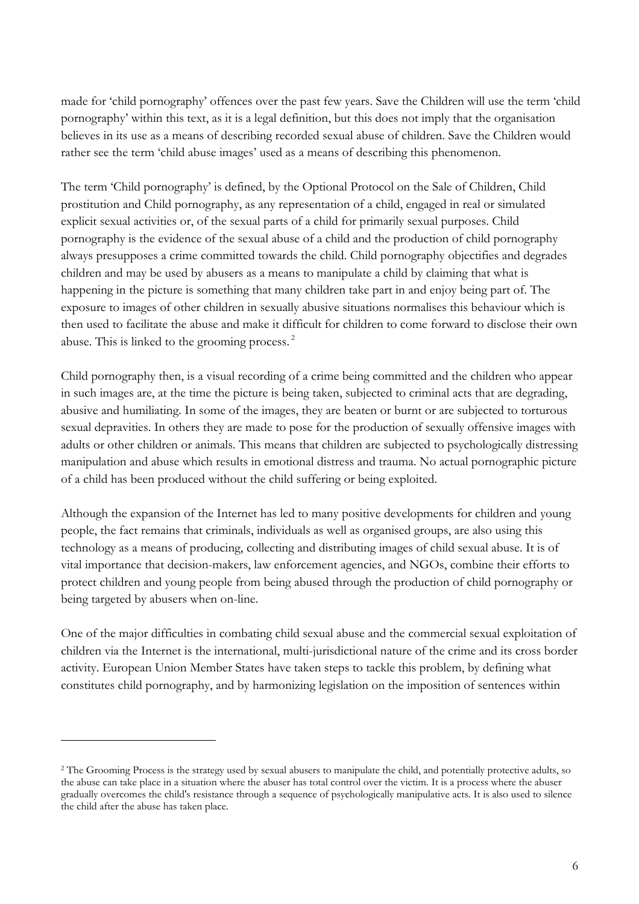made for 'child pornography' offences over the past few years. Save the Children will use the term 'child pornography' within this text, as it is a legal definition, but this does not imply that the organisation believes in its use as a means of describing recorded sexual abuse of children. Save the Children would rather see the term 'child abuse images' used as a means of describing this phenomenon.

The term 'Child pornography' is defined, by the Optional Protocol on the Sale of Children, Child prostitution and Child pornography, as any representation of a child, engaged in real or simulated explicit sexual activities or, of the sexual parts of a child for primarily sexual purposes. Child pornography is the evidence of the sexual abuse of a child and the production of child pornography always presupposes a crime committed towards the child. Child pornography objectifies and degrades children and may be used by abusers as a means to manipulate a child by claiming that what is happening in the picture is something that many children take part in and enjoy being part of. The exposure to images of other children in sexually abusive situations normalises this behaviour which is then used to facilitate the abuse and make it difficult for children to come forward to disclose their own abuse. This is linked to the grooming process. 2

Child pornography then, is a visual recording of a crime being committed and the children who appear in such images are, at the time the picture is being taken, subjected to criminal acts that are degrading, abusive and humiliating. In some of the images, they are beaten or burnt or are subjected to torturous sexual depravities. In others they are made to pose for the production of sexually offensive images with adults or other children or animals. This means that children are subjected to psychologically distressing manipulation and abuse which results in emotional distress and trauma. No actual pornographic picture of a child has been produced without the child suffering or being exploited.

Although the expansion of the Internet has led to many positive developments for children and young people, the fact remains that criminals, individuals as well as organised groups, are also using this technology as a means of producing, collecting and distributing images of child sexual abuse. It is of vital importance that decision-makers, law enforcement agencies, and NGOs, combine their efforts to protect children and young people from being abused through the production of child pornography or being targeted by abusers when on-line.

One of the major difficulties in combating child sexual abuse and the commercial sexual exploitation of children via the Internet is the international, multi-jurisdictional nature of the crime and its cross border activity. European Union Member States have taken steps to tackle this problem, by defining what constitutes child pornography, and by harmonizing legislation on the imposition of sentences within

<sup>&</sup>lt;sup>2</sup> The Grooming Process is the strategy used by sexual abusers to manipulate the child, and potentially protective adults, so the abuse can take place in a situation where the abuser has total control over the victim. It is a process where the abuser gradually overcomes the child's resistance through a sequence of psychologically manipulative acts. It is also used to silence the child after the abuse has taken place.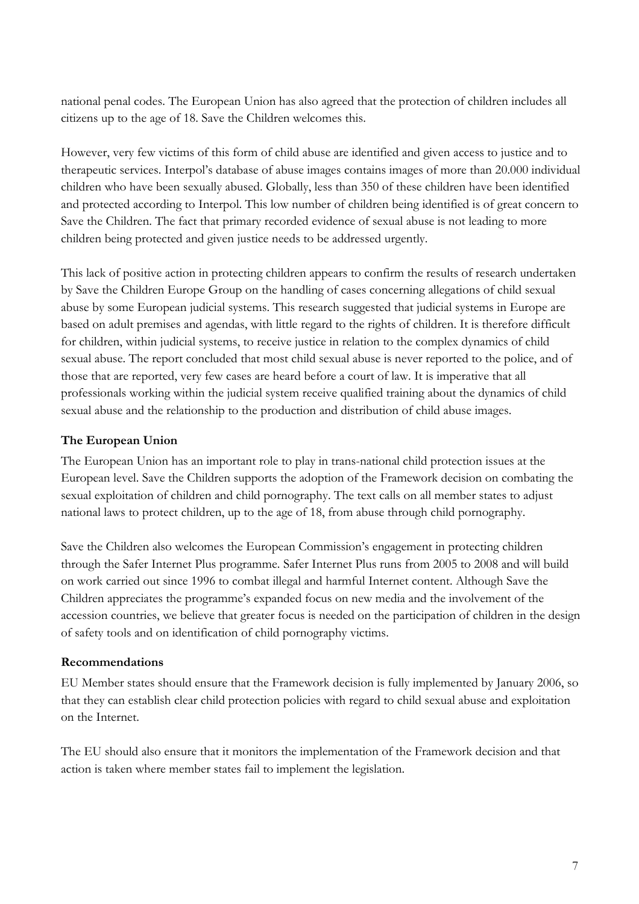national penal codes. The European Union has also agreed that the protection of children includes all citizens up to the age of 18. Save the Children welcomes this.

However, very few victims of this form of child abuse are identified and given access to justice and to therapeutic services. Interpol's database of abuse images contains images of more than 20.000 individual children who have been sexually abused. Globally, less than 350 of these children have been identified and protected according to Interpol. This low number of children being identified is of great concern to Save the Children. The fact that primary recorded evidence of sexual abuse is not leading to more children being protected and given justice needs to be addressed urgently.

This lack of positive action in protecting children appears to confirm the results of research undertaken by Save the Children Europe Group on the handling of cases concerning allegations of child sexual abuse by some European judicial systems. This research suggested that judicial systems in Europe are based on adult premises and agendas, with little regard to the rights of children. It is therefore difficult for children, within judicial systems, to receive justice in relation to the complex dynamics of child sexual abuse. The report concluded that most child sexual abuse is never reported to the police, and of those that are reported, very few cases are heard before a court of law. It is imperative that all professionals working within the judicial system receive qualified training about the dynamics of child sexual abuse and the relationship to the production and distribution of child abuse images.

#### **The European Union**

The European Union has an important role to play in trans-national child protection issues at the European level. Save the Children supports the adoption of the Framework decision on combating the sexual exploitation of children and child pornography. The text calls on all member states to adjust national laws to protect children, up to the age of 18, from abuse through child pornography.

Save the Children also welcomes the European Commission's engagement in protecting children through the Safer Internet Plus programme. Safer Internet Plus runs from 2005 to 2008 and will build on work carried out since 1996 to combat illegal and harmful Internet content. Although Save the Children appreciates the programme's expanded focus on new media and the involvement of the accession countries, we believe that greater focus is needed on the participation of children in the design of safety tools and on identification of child pornography victims.

#### **Recommendations**

EU Member states should ensure that the Framework decision is fully implemented by January 2006, so that they can establish clear child protection policies with regard to child sexual abuse and exploitation on the Internet.

The EU should also ensure that it monitors the implementation of the Framework decision and that action is taken where member states fail to implement the legislation.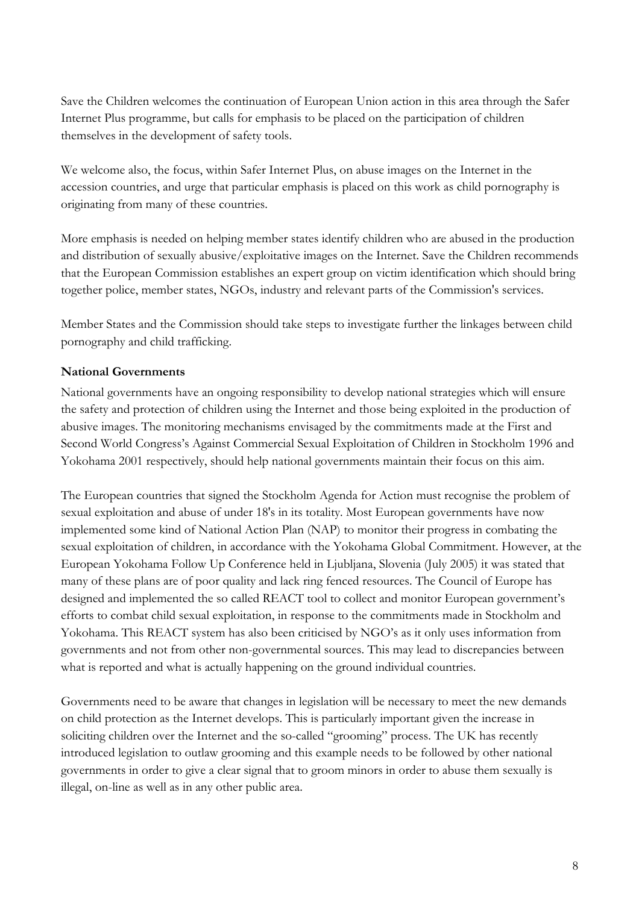Save the Children welcomes the continuation of European Union action in this area through the Safer Internet Plus programme, but calls for emphasis to be placed on the participation of children themselves in the development of safety tools.

We welcome also, the focus, within Safer Internet Plus, on abuse images on the Internet in the accession countries, and urge that particular emphasis is placed on this work as child pornography is originating from many of these countries.

More emphasis is needed on helping member states identify children who are abused in the production and distribution of sexually abusive/exploitative images on the Internet. Save the Children recommends that the European Commission establishes an expert group on victim identification which should bring together police, member states, NGOs, industry and relevant parts of the Commission's services.

Member States and the Commission should take steps to investigate further the linkages between child pornography and child trafficking.

#### **National Governments**

National governments have an ongoing responsibility to develop national strategies which will ensure the safety and protection of children using the Internet and those being exploited in the production of abusive images. The monitoring mechanisms envisaged by the commitments made at the First and Second World Congress's Against Commercial Sexual Exploitation of Children in Stockholm 1996 and Yokohama 2001 respectively, should help national governments maintain their focus on this aim.

The European countries that signed the Stockholm Agenda for Action must recognise the problem of sexual exploitation and abuse of under 18's in its totality. Most European governments have now implemented some kind of National Action Plan (NAP) to monitor their progress in combating the sexual exploitation of children, in accordance with the Yokohama Global Commitment. However, at the European Yokohama Follow Up Conference held in Ljubljana, Slovenia (July 2005) it was stated that many of these plans are of poor quality and lack ring fenced resources. The Council of Europe has designed and implemented the so called REACT tool to collect and monitor European government's efforts to combat child sexual exploitation, in response to the commitments made in Stockholm and Yokohama. This REACT system has also been criticised by NGO's as it only uses information from governments and not from other non-governmental sources. This may lead to discrepancies between what is reported and what is actually happening on the ground individual countries.

Governments need to be aware that changes in legislation will be necessary to meet the new demands on child protection as the Internet develops. This is particularly important given the increase in soliciting children over the Internet and the so-called "grooming" process. The UK has recently introduced legislation to outlaw grooming and this example needs to be followed by other national governments in order to give a clear signal that to groom minors in order to abuse them sexually is illegal, on-line as well as in any other public area.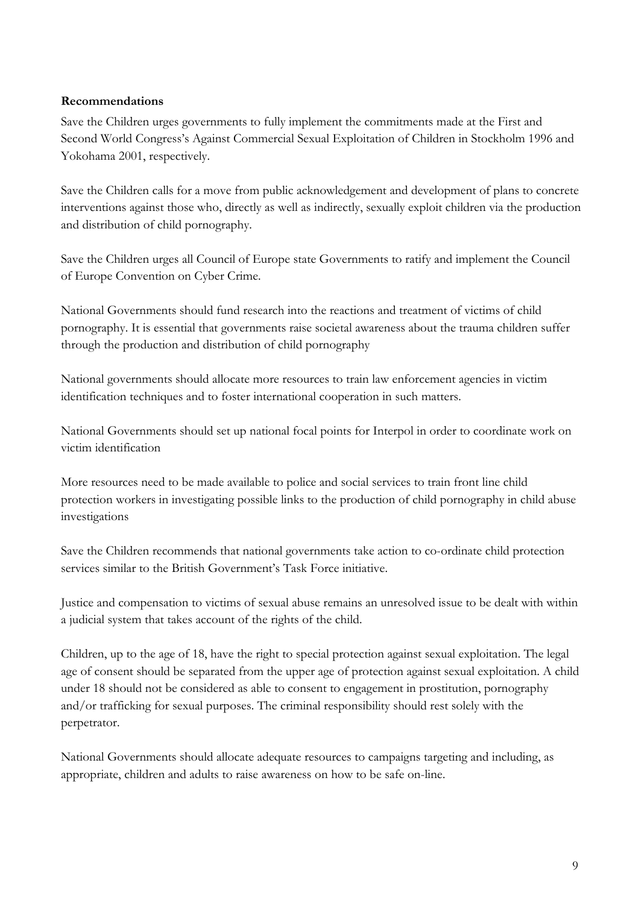#### **Recommendations**

Save the Children urges governments to fully implement the commitments made at the First and Second World Congress's Against Commercial Sexual Exploitation of Children in Stockholm 1996 and Yokohama 2001, respectively.

Save the Children calls for a move from public acknowledgement and development of plans to concrete interventions against those who, directly as well as indirectly, sexually exploit children via the production and distribution of child pornography.

Save the Children urges all Council of Europe state Governments to ratify and implement the Council of Europe Convention on Cyber Crime.

National Governments should fund research into the reactions and treatment of victims of child pornography. It is essential that governments raise societal awareness about the trauma children suffer through the production and distribution of child pornography

National governments should allocate more resources to train law enforcement agencies in victim identification techniques and to foster international cooperation in such matters.

National Governments should set up national focal points for Interpol in order to coordinate work on victim identification

More resources need to be made available to police and social services to train front line child protection workers in investigating possible links to the production of child pornography in child abuse investigations

Save the Children recommends that national governments take action to co-ordinate child protection services similar to the British Government's Task Force initiative.

Justice and compensation to victims of sexual abuse remains an unresolved issue to be dealt with within a judicial system that takes account of the rights of the child.

Children, up to the age of 18, have the right to special protection against sexual exploitation. The legal age of consent should be separated from the upper age of protection against sexual exploitation. A child under 18 should not be considered as able to consent to engagement in prostitution, pornography and/or trafficking for sexual purposes. The criminal responsibility should rest solely with the perpetrator.

National Governments should allocate adequate resources to campaigns targeting and including, as appropriate, children and adults to raise awareness on how to be safe on-line.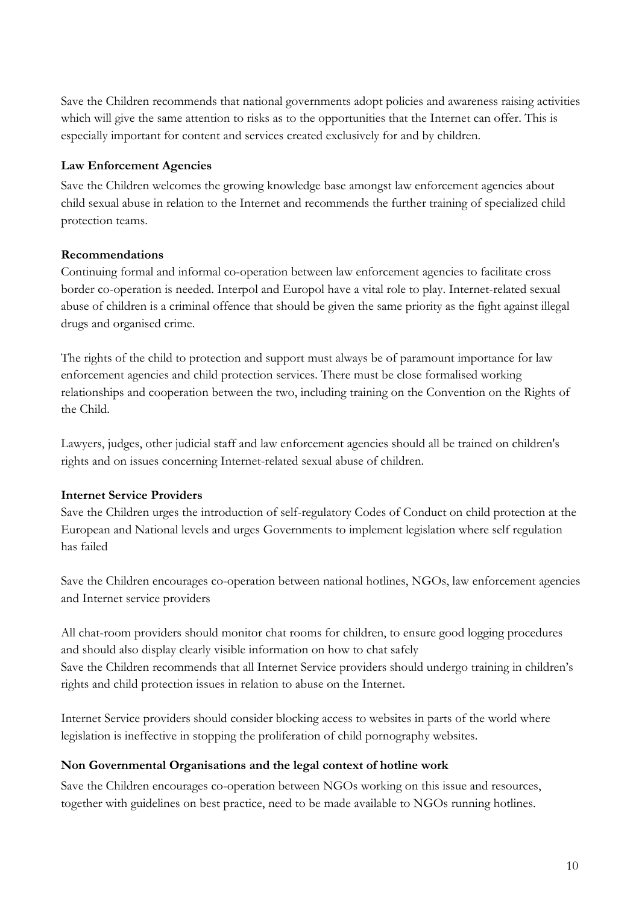Save the Children recommends that national governments adopt policies and awareness raising activities which will give the same attention to risks as to the opportunities that the Internet can offer. This is especially important for content and services created exclusively for and by children.

#### **Law Enforcement Agencies**

Save the Children welcomes the growing knowledge base amongst law enforcement agencies about child sexual abuse in relation to the Internet and recommends the further training of specialized child protection teams.

#### **Recommendations**

Continuing formal and informal co-operation between law enforcement agencies to facilitate cross border co-operation is needed. Interpol and Europol have a vital role to play. Internet-related sexual abuse of children is a criminal offence that should be given the same priority as the fight against illegal drugs and organised crime.

The rights of the child to protection and support must always be of paramount importance for law enforcement agencies and child protection services. There must be close formalised working relationships and cooperation between the two, including training on the Convention on the Rights of the Child.

Lawyers, judges, other judicial staff and law enforcement agencies should all be trained on children's rights and on issues concerning Internet-related sexual abuse of children.

#### **Internet Service Providers**

Save the Children urges the introduction of self-regulatory Codes of Conduct on child protection at the European and National levels and urges Governments to implement legislation where self regulation has failed

Save the Children encourages co-operation between national hotlines, NGOs, law enforcement agencies and Internet service providers

All chat-room providers should monitor chat rooms for children, to ensure good logging procedures and should also display clearly visible information on how to chat safely Save the Children recommends that all Internet Service providers should undergo training in children's rights and child protection issues in relation to abuse on the Internet.

Internet Service providers should consider blocking access to websites in parts of the world where legislation is ineffective in stopping the proliferation of child pornography websites.

#### **Non Governmental Organisations and the legal context of hotline work**

Save the Children encourages co-operation between NGOs working on this issue and resources, together with guidelines on best practice, need to be made available to NGOs running hotlines.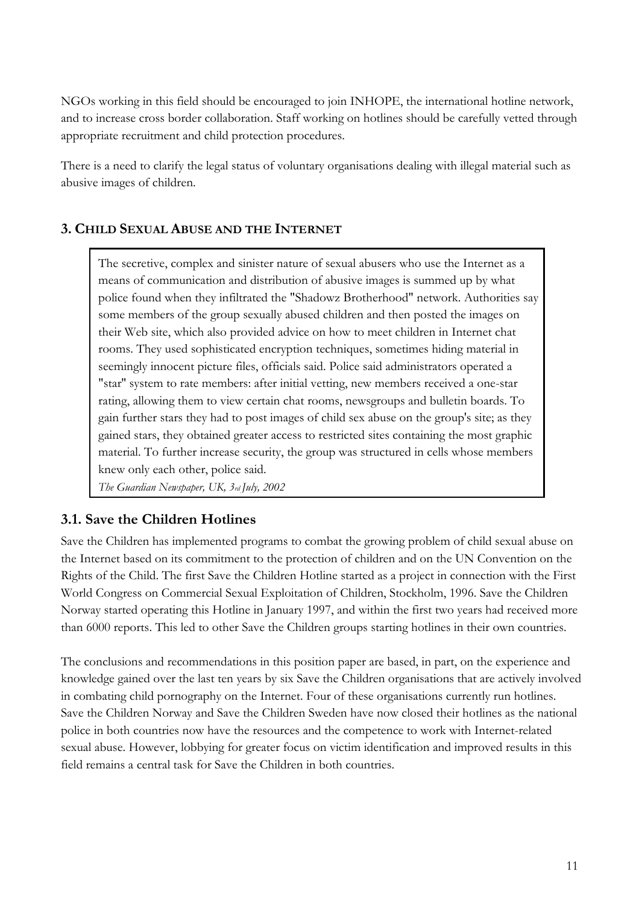NGOs working in this field should be encouraged to join INHOPE, the international hotline network, and to increase cross border collaboration. Staff working on hotlines should be carefully vetted through appropriate recruitment and child protection procedures.

There is a need to clarify the legal status of voluntary organisations dealing with illegal material such as abusive images of children.

## **3. CHILD SEXUAL ABUSE AND THE INTERNET**

The secretive, complex and sinister nature of sexual abusers who use the Internet as a means of communication and distribution of abusive images is summed up by what police found when they infiltrated the "Shadowz Brotherhood" network. Authorities say some members of the group sexually abused children and then posted the images on their Web site, which also provided advice on how to meet children in Internet chat rooms. They used sophisticated encryption techniques, sometimes hiding material in seemingly innocent picture files, officials said. Police said administrators operated a "star'' system to rate members: after initial vetting, new members received a one-star rating, allowing them to view certain chat rooms, newsgroups and bulletin boards. To gain further stars they had to post images of child sex abuse on the group's site; as they gained stars, they obtained greater access to restricted sites containing the most graphic material. To further increase security, the group was structured in cells whose members knew only each other, police said.

*The Guardian Newspaper, UK, 3rd July, 2002*

# **3.1. Save the Children Hotlines**

Save the Children has implemented programs to combat the growing problem of child sexual abuse on the Internet based on its commitment to the protection of children and on the UN Convention on the Rights of the Child. The first Save the Children Hotline started as a project in connection with the First World Congress on Commercial Sexual Exploitation of Children, Stockholm, 1996. Save the Children Norway started operating this Hotline in January 1997, and within the first two years had received more than 6000 reports. This led to other Save the Children groups starting hotlines in their own countries.

The conclusions and recommendations in this position paper are based, in part, on the experience and knowledge gained over the last ten years by six Save the Children organisations that are actively involved in combating child pornography on the Internet. Four of these organisations currently run hotlines. Save the Children Norway and Save the Children Sweden have now closed their hotlines as the national police in both countries now have the resources and the competence to work with Internet-related sexual abuse. However, lobbying for greater focus on victim identification and improved results in this field remains a central task for Save the Children in both countries.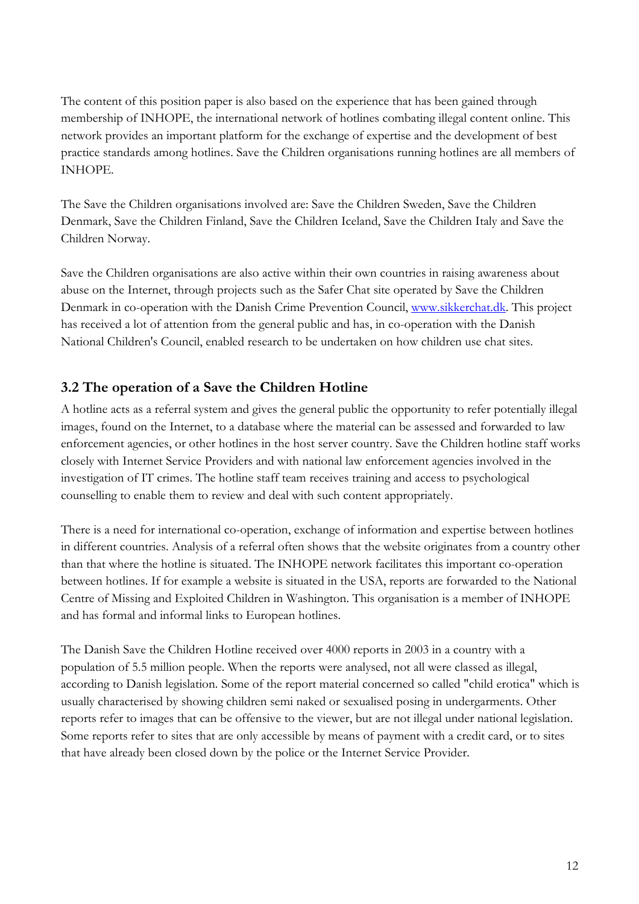The content of this position paper is also based on the experience that has been gained through membership of INHOPE, the international network of hotlines combating illegal content online. This network provides an important platform for the exchange of expertise and the development of best practice standards among hotlines. Save the Children organisations running hotlines are all members of INHOPE.

The Save the Children organisations involved are: Save the Children Sweden, Save the Children Denmark, Save the Children Finland, Save the Children Iceland, Save the Children Italy and Save the Children Norway.

Save the Children organisations are also active within their own countries in raising awareness about abuse on the Internet, through projects such as the Safer Chat site operated by Save the Children Denmark in co-operation with the Danish Crime Prevention Council, www.sikkerchat.dk. This project has received a lot of attention from the general public and has, in co-operation with the Danish National Children's Council, enabled research to be undertaken on how children use chat sites.

# **3.2 The operation of a Save the Children Hotline**

A hotline acts as a referral system and gives the general public the opportunity to refer potentially illegal images, found on the Internet, to a database where the material can be assessed and forwarded to law enforcement agencies, or other hotlines in the host server country. Save the Children hotline staff works closely with Internet Service Providers and with national law enforcement agencies involved in the investigation of IT crimes. The hotline staff team receives training and access to psychological counselling to enable them to review and deal with such content appropriately.

There is a need for international co-operation, exchange of information and expertise between hotlines in different countries. Analysis of a referral often shows that the website originates from a country other than that where the hotline is situated. The INHOPE network facilitates this important co-operation between hotlines. If for example a website is situated in the USA, reports are forwarded to the National Centre of Missing and Exploited Children in Washington. This organisation is a member of INHOPE and has formal and informal links to European hotlines.

The Danish Save the Children Hotline received over 4000 reports in 2003 in a country with a population of 5.5 million people. When the reports were analysed, not all were classed as illegal, according to Danish legislation. Some of the report material concerned so called "child erotica" which is usually characterised by showing children semi naked or sexualised posing in undergarments. Other reports refer to images that can be offensive to the viewer, but are not illegal under national legislation. Some reports refer to sites that are only accessible by means of payment with a credit card, or to sites that have already been closed down by the police or the Internet Service Provider.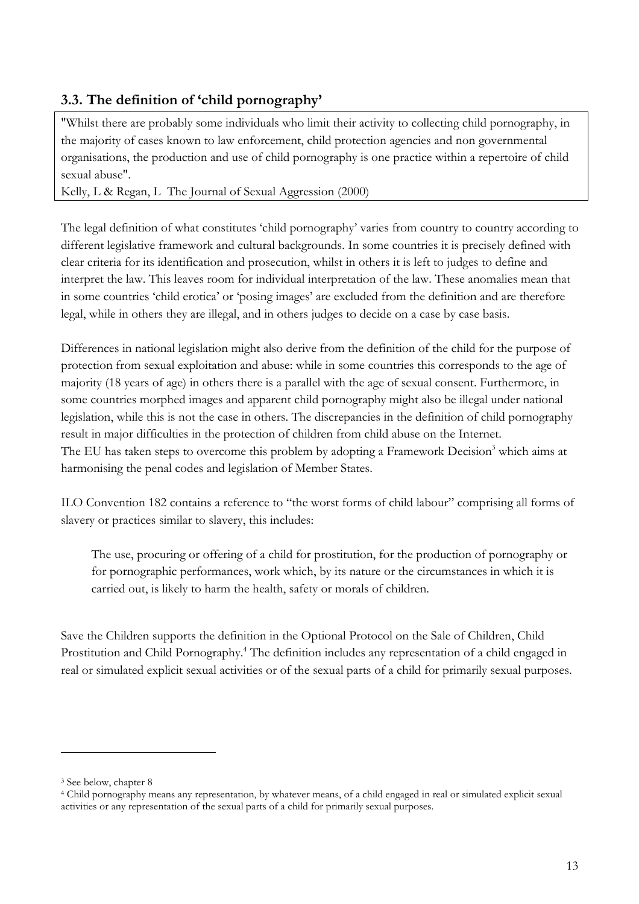# **3.3. The definition of 'child pornography'**

"Whilst there are probably some individuals who limit their activity to collecting child pornography, in the majority of cases known to law enforcement, child protection agencies and non governmental organisations, the production and use of child pornography is one practice within a repertoire of child sexual abuse".

Kelly, L & Regan, L The Journal of Sexual Aggression (2000)

The legal definition of what constitutes 'child pornography' varies from country to country according to different legislative framework and cultural backgrounds. In some countries it is precisely defined with clear criteria for its identification and prosecution, whilst in others it is left to judges to define and interpret the law. This leaves room for individual interpretation of the law. These anomalies mean that in some countries 'child erotica' or 'posing images' are excluded from the definition and are therefore legal, while in others they are illegal, and in others judges to decide on a case by case basis.

Differences in national legislation might also derive from the definition of the child for the purpose of protection from sexual exploitation and abuse: while in some countries this corresponds to the age of majority (18 years of age) in others there is a parallel with the age of sexual consent. Furthermore, in some countries morphed images and apparent child pornography might also be illegal under national legislation, while this is not the case in others. The discrepancies in the definition of child pornography result in major difficulties in the protection of children from child abuse on the Internet. The EU has taken steps to overcome this problem by adopting a Framework Decision<sup>3</sup> which aims at harmonising the penal codes and legislation of Member States.

ILO Convention 182 contains a reference to "the worst forms of child labour" comprising all forms of slavery or practices similar to slavery, this includes:

The use, procuring or offering of a child for prostitution, for the production of pornography or for pornographic performances, work which, by its nature or the circumstances in which it is carried out, is likely to harm the health, safety or morals of children.

Save the Children supports the definition in the Optional Protocol on the Sale of Children, Child Prostitution and Child Pornography.<sup>4</sup> The definition includes any representation of a child engaged in real or simulated explicit sexual activities or of the sexual parts of a child for primarily sexual purposes.

<sup>3</sup> See below, chapter 8

<sup>4</sup> Child pornography means any representation, by whatever means, of a child engaged in real or simulated explicit sexual activities or any representation of the sexual parts of a child for primarily sexual purposes.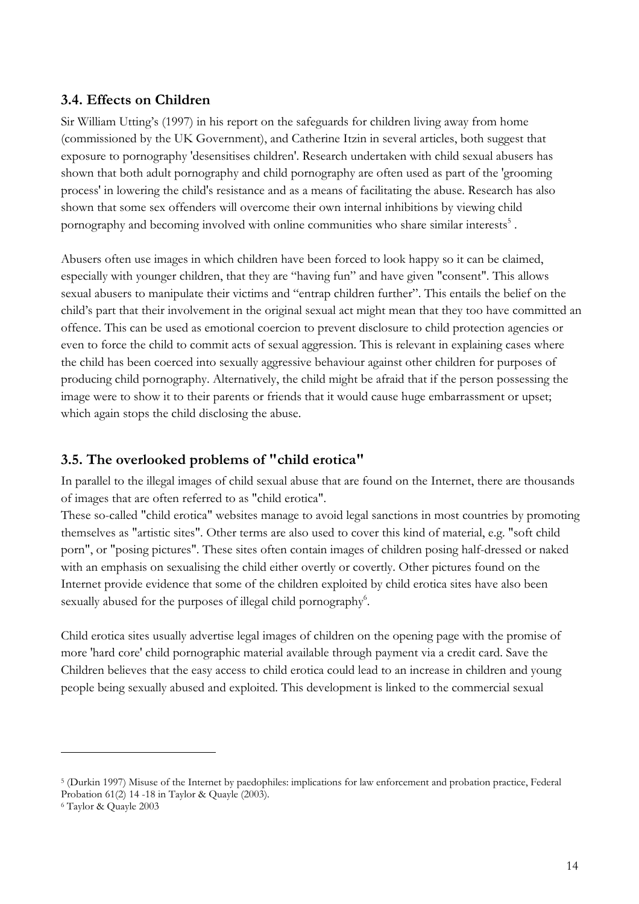## **3.4. Effects on Children**

Sir William Utting's (1997) in his report on the safeguards for children living away from home (commissioned by the UK Government), and Catherine Itzin in several articles, both suggest that exposure to pornography 'desensitises children'. Research undertaken with child sexual abusers has shown that both adult pornography and child pornography are often used as part of the 'grooming process' in lowering the child's resistance and as a means of facilitating the abuse. Research has also shown that some sex offenders will overcome their own internal inhibitions by viewing child pornography and becoming involved with online communities who share similar interests<sup>5</sup>.

Abusers often use images in which children have been forced to look happy so it can be claimed, especially with younger children, that they are "having fun" and have given "consent". This allows sexual abusers to manipulate their victims and "entrap children further". This entails the belief on the child's part that their involvement in the original sexual act might mean that they too have committed an offence. This can be used as emotional coercion to prevent disclosure to child protection agencies or even to force the child to commit acts of sexual aggression. This is relevant in explaining cases where the child has been coerced into sexually aggressive behaviour against other children for purposes of producing child pornography. Alternatively, the child might be afraid that if the person possessing the image were to show it to their parents or friends that it would cause huge embarrassment or upset; which again stops the child disclosing the abuse.

# **3.5. The overlooked problems of "child erotica"**

In parallel to the illegal images of child sexual abuse that are found on the Internet, there are thousands of images that are often referred to as "child erotica".

These so-called "child erotica" websites manage to avoid legal sanctions in most countries by promoting themselves as "artistic sites". Other terms are also used to cover this kind of material, e.g. "soft child porn", or "posing pictures". These sites often contain images of children posing half-dressed or naked with an emphasis on sexualising the child either overtly or covertly. Other pictures found on the Internet provide evidence that some of the children exploited by child erotica sites have also been sexually abused for the purposes of illegal child pornography<sup>6</sup>.

Child erotica sites usually advertise legal images of children on the opening page with the promise of more 'hard core' child pornographic material available through payment via a credit card. Save the Children believes that the easy access to child erotica could lead to an increase in children and young people being sexually abused and exploited. This development is linked to the commercial sexual

<sup>5 (</sup>Durkin 1997) Misuse of the Internet by paedophiles: implications for law enforcement and probation practice, Federal Probation 61(2) 14 -18 in Taylor & Quayle (2003).

<sup>6</sup> Taylor & Quayle 2003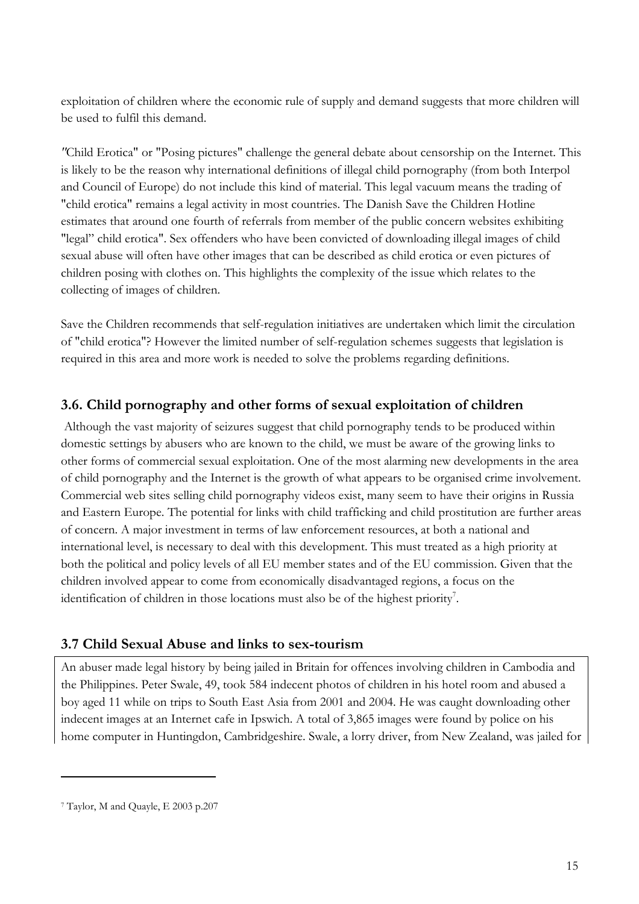exploitation of children where the economic rule of supply and demand suggests that more children will be used to fulfil this demand.

*"*Child Erotica" or "Posing pictures" challenge the general debate about censorship on the Internet. This is likely to be the reason why international definitions of illegal child pornography (from both Interpol and Council of Europe) do not include this kind of material. This legal vacuum means the trading of "child erotica" remains a legal activity in most countries. The Danish Save the Children Hotline estimates that around one fourth of referrals from member of the public concern websites exhibiting "legal" child erotica". Sex offenders who have been convicted of downloading illegal images of child sexual abuse will often have other images that can be described as child erotica or even pictures of children posing with clothes on. This highlights the complexity of the issue which relates to the collecting of images of children.

Save the Children recommends that self-regulation initiatives are undertaken which limit the circulation of "child erotica"? However the limited number of self-regulation schemes suggests that legislation is required in this area and more work is needed to solve the problems regarding definitions.

## **3.6. Child pornography and other forms of sexual exploitation of children**

 Although the vast majority of seizures suggest that child pornography tends to be produced within domestic settings by abusers who are known to the child, we must be aware of the growing links to other forms of commercial sexual exploitation. One of the most alarming new developments in the area of child pornography and the Internet is the growth of what appears to be organised crime involvement. Commercial web sites selling child pornography videos exist, many seem to have their origins in Russia and Eastern Europe. The potential for links with child trafficking and child prostitution are further areas of concern. A major investment in terms of law enforcement resources, at both a national and international level, is necessary to deal with this development. This must treated as a high priority at both the political and policy levels of all EU member states and of the EU commission. Given that the children involved appear to come from economically disadvantaged regions, a focus on the identification of children in those locations must also be of the highest priority<sup>7</sup>.

# **3.7 Child Sexual Abuse and links to sex-tourism**

An abuser made legal history by being jailed in Britain for offences involving children in Cambodia and the Philippines. Peter Swale, 49, took 584 indecent photos of children in his hotel room and abused a boy aged 11 while on trips to South East Asia from 2001 and 2004. He was caught downloading other indecent images at an Internet cafe in Ipswich. A total of 3,865 images were found by police on his home computer in Huntingdon, Cambridgeshire. Swale, a lorry driver, from New Zealand, was jailed for

<sup>7</sup> Taylor, M and Quayle, E 2003 p.207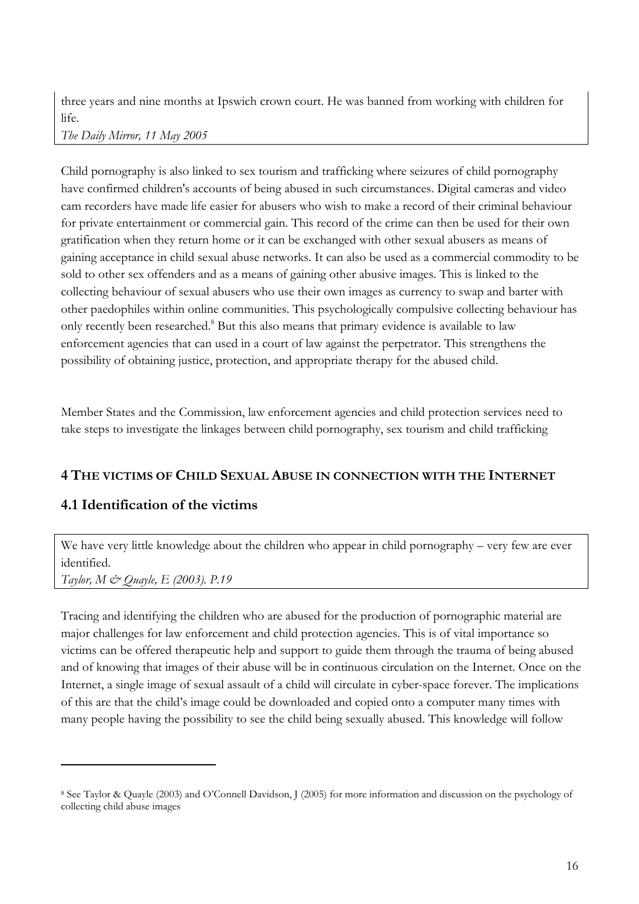three years and nine months at Ipswich crown court. He was banned from working with children for life.

*The Daily Mirror, 11 May 2005* 

Child pornography is also linked to sex tourism and trafficking where seizures of child pornography have confirmed children's accounts of being abused in such circumstances. Digital cameras and video cam recorders have made life easier for abusers who wish to make a record of their criminal behaviour for private entertainment or commercial gain. This record of the crime can then be used for their own gratification when they return home or it can be exchanged with other sexual abusers as means of gaining acceptance in child sexual abuse networks. It can also be used as a commercial commodity to be sold to other sex offenders and as a means of gaining other abusive images. This is linked to the collecting behaviour of sexual abusers who use their own images as currency to swap and barter with other paedophiles within online communities. This psychologically compulsive collecting behaviour has only recently been researched.<sup>8</sup> But this also means that primary evidence is available to law enforcement agencies that can used in a court of law against the perpetrator. This strengthens the possibility of obtaining justice, protection, and appropriate therapy for the abused child.

Member States and the Commission, law enforcement agencies and child protection services need to take steps to investigate the linkages between child pornography, sex tourism and child trafficking

# **4 THE VICTIMS OF CHILD SEXUAL ABUSE IN CONNECTION WITH THE INTERNET**

# **4.1 Identification of the victims**

We have very little knowledge about the children who appear in child pornography – very few are ever identified.

*Taylor, M & Quayle, E (2003). P.19* 

 $\overline{a}$ 

Tracing and identifying the children who are abused for the production of pornographic material are major challenges for law enforcement and child protection agencies. This is of vital importance so victims can be offered therapeutic help and support to guide them through the trauma of being abused and of knowing that images of their abuse will be in continuous circulation on the Internet. Once on the Internet, a single image of sexual assault of a child will circulate in cyber-space forever. The implications of this are that the child's image could be downloaded and copied onto a computer many times with many people having the possibility to see the child being sexually abused. This knowledge will follow

<sup>8</sup> See Taylor & Quayle (2003) and O'Connell Davidson, J (2005) for more information and discussion on the psychology of collecting child abuse images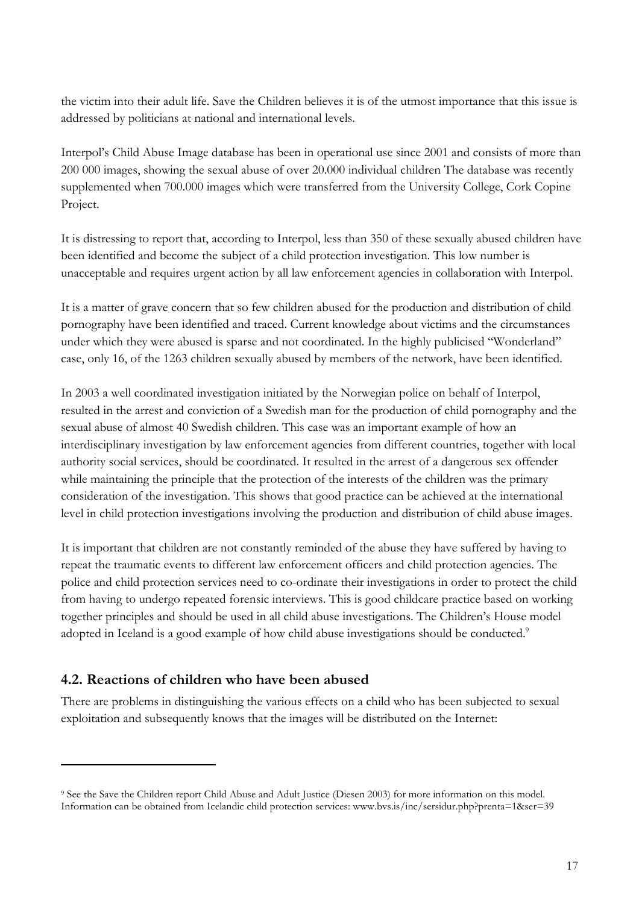the victim into their adult life. Save the Children believes it is of the utmost importance that this issue is addressed by politicians at national and international levels.

Interpol's Child Abuse Image database has been in operational use since 2001 and consists of more than 200 000 images, showing the sexual abuse of over 20.000 individual children The database was recently supplemented when 700.000 images which were transferred from the University College, Cork Copine Project.

It is distressing to report that, according to Interpol, less than 350 of these sexually abused children have been identified and become the subject of a child protection investigation. This low number is unacceptable and requires urgent action by all law enforcement agencies in collaboration with Interpol.

It is a matter of grave concern that so few children abused for the production and distribution of child pornography have been identified and traced. Current knowledge about victims and the circumstances under which they were abused is sparse and not coordinated. In the highly publicised "Wonderland" case, only 16, of the 1263 children sexually abused by members of the network, have been identified.

In 2003 a well coordinated investigation initiated by the Norwegian police on behalf of Interpol, resulted in the arrest and conviction of a Swedish man for the production of child pornography and the sexual abuse of almost 40 Swedish children. This case was an important example of how an interdisciplinary investigation by law enforcement agencies from different countries, together with local authority social services, should be coordinated. It resulted in the arrest of a dangerous sex offender while maintaining the principle that the protection of the interests of the children was the primary consideration of the investigation. This shows that good practice can be achieved at the international level in child protection investigations involving the production and distribution of child abuse images.

It is important that children are not constantly reminded of the abuse they have suffered by having to repeat the traumatic events to different law enforcement officers and child protection agencies. The police and child protection services need to co-ordinate their investigations in order to protect the child from having to undergo repeated forensic interviews. This is good childcare practice based on working together principles and should be used in all child abuse investigations. The Children's House model adopted in Iceland is a good example of how child abuse investigations should be conducted.<sup>9</sup>

# **4.2. Reactions of children who have been abused**

 $\overline{a}$ 

There are problems in distinguishing the various effects on a child who has been subjected to sexual exploitation and subsequently knows that the images will be distributed on the Internet:

<sup>9</sup> See the Save the Children report Child Abuse and Adult Justice (Diesen 2003) for more information on this model. Information can be obtained from Icelandic child protection services: www.bvs.is/inc/sersidur.php?prenta=1&ser=39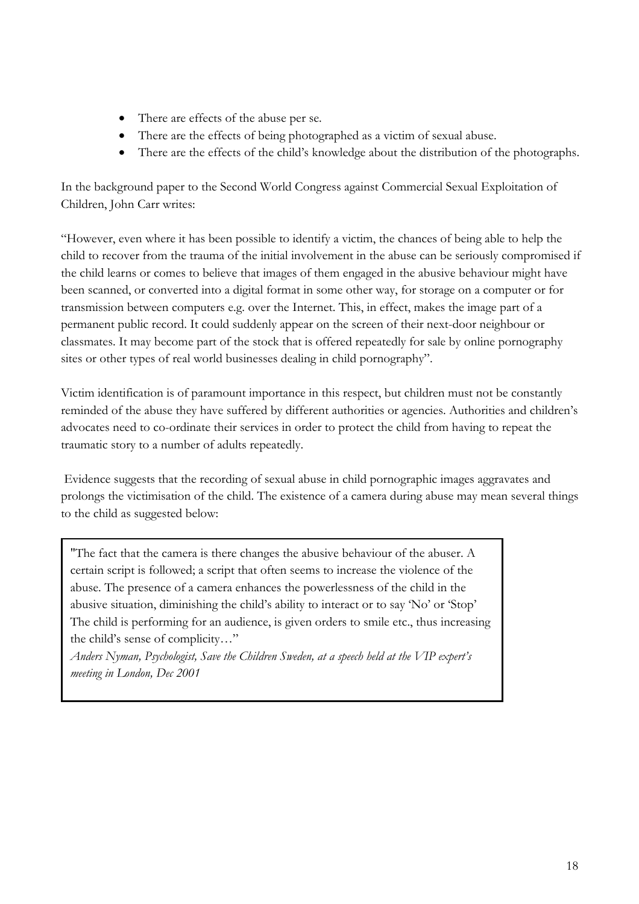- There are effects of the abuse per se.
- There are the effects of being photographed as a victim of sexual abuse.
- There are the effects of the child's knowledge about the distribution of the photographs.

In the background paper to the Second World Congress against Commercial Sexual Exploitation of Children, John Carr writes:

"However, even where it has been possible to identify a victim, the chances of being able to help the child to recover from the trauma of the initial involvement in the abuse can be seriously compromised if the child learns or comes to believe that images of them engaged in the abusive behaviour might have been scanned, or converted into a digital format in some other way, for storage on a computer or for transmission between computers e.g. over the Internet. This, in effect, makes the image part of a permanent public record. It could suddenly appear on the screen of their next-door neighbour or classmates. It may become part of the stock that is offered repeatedly for sale by online pornography sites or other types of real world businesses dealing in child pornography".

Victim identification is of paramount importance in this respect, but children must not be constantly reminded of the abuse they have suffered by different authorities or agencies. Authorities and children's advocates need to co-ordinate their services in order to protect the child from having to repeat the traumatic story to a number of adults repeatedly.

 Evidence suggests that the recording of sexual abuse in child pornographic images aggravates and prolongs the victimisation of the child. The existence of a camera during abuse may mean several things to the child as suggested below:

"The fact that the camera is there changes the abusive behaviour of the abuser. A certain script is followed; a script that often seems to increase the violence of the abuse. The presence of a camera enhances the powerlessness of the child in the abusive situation, diminishing the child's ability to interact or to say 'No' or 'Stop' The child is performing for an audience, is given orders to smile etc., thus increasing the child's sense of complicity…"

*Anders Nyman, Psychologist, Save the Children Sweden, at a speech held at the VIP expert's meeting in London, Dec 2001*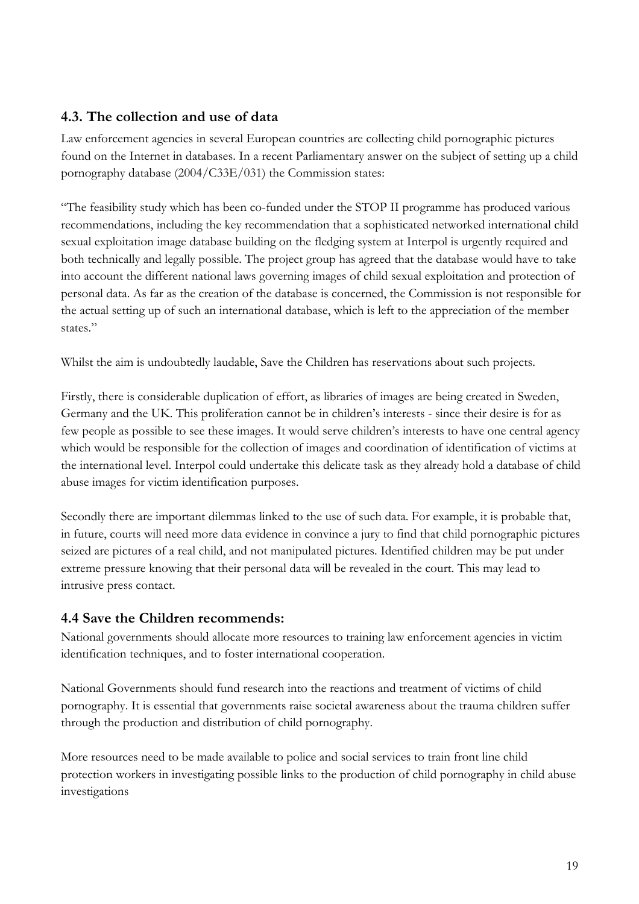## **4.3. The collection and use of data**

Law enforcement agencies in several European countries are collecting child pornographic pictures found on the Internet in databases. In a recent Parliamentary answer on the subject of setting up a child pornography database (2004/C33E/031) the Commission states:

"The feasibility study which has been co-funded under the STOP II programme has produced various recommendations, including the key recommendation that a sophisticated networked international child sexual exploitation image database building on the fledging system at Interpol is urgently required and both technically and legally possible. The project group has agreed that the database would have to take into account the different national laws governing images of child sexual exploitation and protection of personal data. As far as the creation of the database is concerned, the Commission is not responsible for the actual setting up of such an international database, which is left to the appreciation of the member states."

Whilst the aim is undoubtedly laudable, Save the Children has reservations about such projects.

Firstly, there is considerable duplication of effort, as libraries of images are being created in Sweden, Germany and the UK. This proliferation cannot be in children's interests - since their desire is for as few people as possible to see these images. It would serve children's interests to have one central agency which would be responsible for the collection of images and coordination of identification of victims at the international level. Interpol could undertake this delicate task as they already hold a database of child abuse images for victim identification purposes.

Secondly there are important dilemmas linked to the use of such data. For example, it is probable that, in future, courts will need more data evidence in convince a jury to find that child pornographic pictures seized are pictures of a real child, and not manipulated pictures. Identified children may be put under extreme pressure knowing that their personal data will be revealed in the court. This may lead to intrusive press contact.

# **4.4 Save the Children recommends:**

National governments should allocate more resources to training law enforcement agencies in victim identification techniques, and to foster international cooperation.

National Governments should fund research into the reactions and treatment of victims of child pornography. It is essential that governments raise societal awareness about the trauma children suffer through the production and distribution of child pornography.

More resources need to be made available to police and social services to train front line child protection workers in investigating possible links to the production of child pornography in child abuse investigations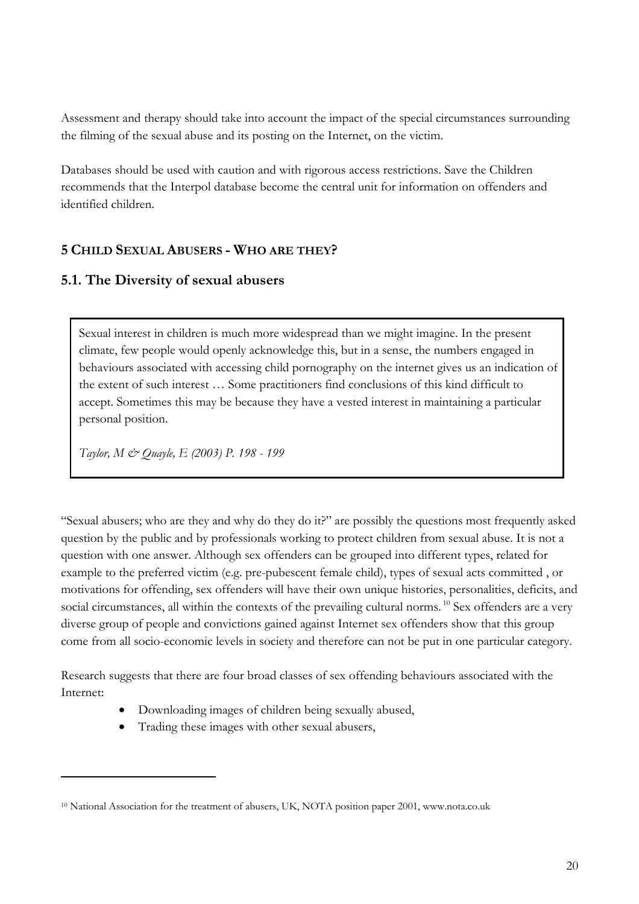Assessment and therapy should take into account the impact of the special circumstances surrounding the filming of the sexual abuse and its posting on the Internet, on the victim.

Databases should be used with caution and with rigorous access restrictions. Save the Children recommends that the Interpol database become the central unit for information on offenders and identified children.

## **5 CHILD SEXUAL ABUSERS - WHO ARE THEY?**

#### **5.1. The Diversity of sexual abusers**

Sexual interest in children is much more widespread than we might imagine. In the present climate, few people would openly acknowledge this, but in a sense, the numbers engaged in behaviours associated with accessing child pornography on the internet gives us an indication of the extent of such interest … Some practitioners find conclusions of this kind difficult to accept. Sometimes this may be because they have a vested interest in maintaining a particular personal position.

*Taylor, M & Quayle, E (2003) P. 198 - 199* 

 $\overline{a}$ 

"Sexual abusers; who are they and why do they do it?" are possibly the questions most frequently asked question by the public and by professionals working to protect children from sexual abuse. It is not a question with one answer. Although sex offenders can be grouped into different types, related for example to the preferred victim (e.g. pre-pubescent female child), types of sexual acts committed , or motivations for offending, sex offenders will have their own unique histories, personalities, deficits, and social circumstances, all within the contexts of the prevailing cultural norms. <sup>10</sup> Sex offenders are a very diverse group of people and convictions gained against Internet sex offenders show that this group come from all socio-economic levels in society and therefore can not be put in one particular category.

Research suggests that there are four broad classes of sex offending behaviours associated with the Internet:

- Downloading images of children being sexually abused,
- Trading these images with other sexual abusers,

<sup>&</sup>lt;sup>10</sup> National Association for the treatment of abusers, UK, NOTA position paper 2001, www.nota.co.uk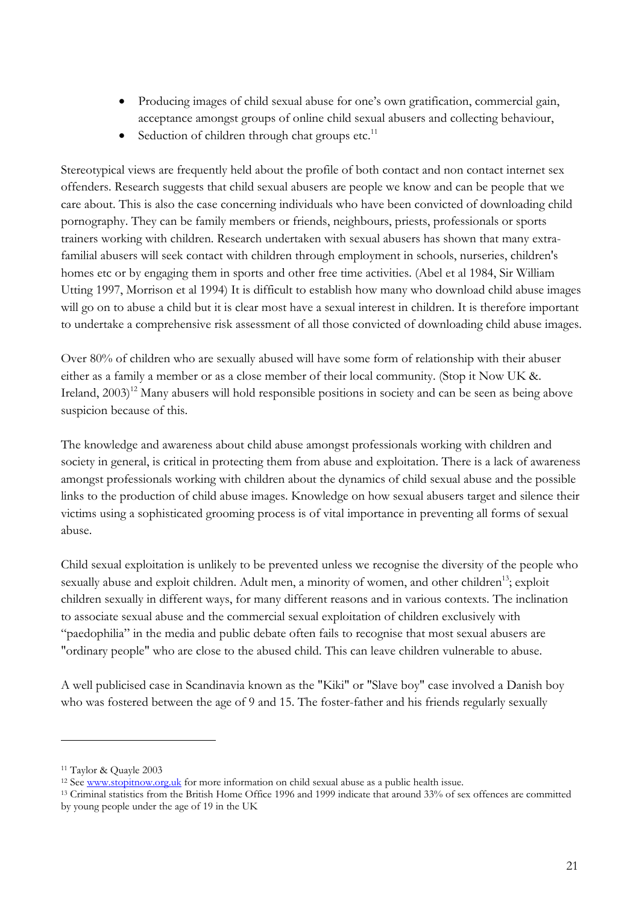- Producing images of child sexual abuse for one's own gratification, commercial gain, acceptance amongst groups of online child sexual abusers and collecting behaviour,
- Seduction of children through chat groups etc. $11$

Stereotypical views are frequently held about the profile of both contact and non contact internet sex offenders. Research suggests that child sexual abusers are people we know and can be people that we care about. This is also the case concerning individuals who have been convicted of downloading child pornography. They can be family members or friends, neighbours, priests, professionals or sports trainers working with children. Research undertaken with sexual abusers has shown that many extrafamilial abusers will seek contact with children through employment in schools, nurseries, children's homes etc or by engaging them in sports and other free time activities. (Abel et al 1984, Sir William Utting 1997, Morrison et al 1994) It is difficult to establish how many who download child abuse images will go on to abuse a child but it is clear most have a sexual interest in children. It is therefore important to undertake a comprehensive risk assessment of all those convicted of downloading child abuse images.

Over 80% of children who are sexually abused will have some form of relationship with their abuser either as a family a member or as a close member of their local community. (Stop it Now UK &. Ireland, 2003)<sup>12</sup> Many abusers will hold responsible positions in society and can be seen as being above suspicion because of this.

The knowledge and awareness about child abuse amongst professionals working with children and society in general, is critical in protecting them from abuse and exploitation. There is a lack of awareness amongst professionals working with children about the dynamics of child sexual abuse and the possible links to the production of child abuse images. Knowledge on how sexual abusers target and silence their victims using a sophisticated grooming process is of vital importance in preventing all forms of sexual abuse.

Child sexual exploitation is unlikely to be prevented unless we recognise the diversity of the people who sexually abuse and exploit children. Adult men, a minority of women, and other children<sup>13</sup>; exploit children sexually in different ways, for many different reasons and in various contexts. The inclination to associate sexual abuse and the commercial sexual exploitation of children exclusively with "paedophilia" in the media and public debate often fails to recognise that most sexual abusers are "ordinary people" who are close to the abused child. This can leave children vulnerable to abuse.

A well publicised case in Scandinavia known as the "Kiki" or "Slave boy" case involved a Danish boy who was fostered between the age of 9 and 15. The foster-father and his friends regularly sexually

<sup>11</sup> Taylor & Quayle 2003

<sup>&</sup>lt;sup>12</sup> See www.stopitnow.org.uk for more information on child sexual abuse as a public health issue.<br><sup>13</sup> Criminal statistics from the British Home Office 1996 and 1999 indicate that around 33% of sex offences are committed by young people under the age of 19 in the UK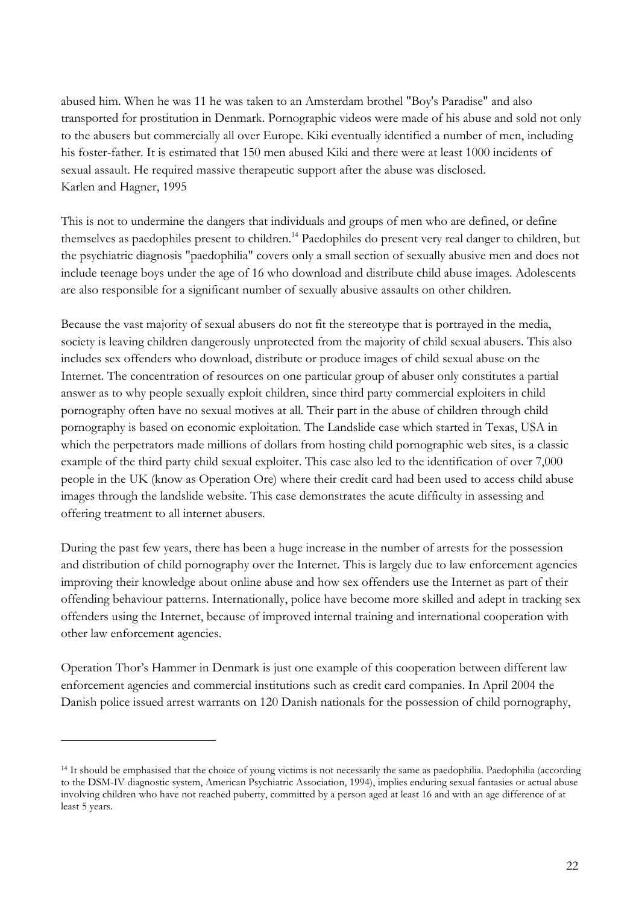abused him. When he was 11 he was taken to an Amsterdam brothel "Boy's Paradise" and also transported for prostitution in Denmark. Pornographic videos were made of his abuse and sold not only to the abusers but commercially all over Europe. Kiki eventually identified a number of men, including his foster-father. It is estimated that 150 men abused Kiki and there were at least 1000 incidents of sexual assault. He required massive therapeutic support after the abuse was disclosed. Karlen and Hagner, 1995

This is not to undermine the dangers that individuals and groups of men who are defined, or define themselves as paedophiles present to children.<sup>14</sup> Paedophiles do present very real danger to children, but the psychiatric diagnosis "paedophilia" covers only a small section of sexually abusive men and does not include teenage boys under the age of 16 who download and distribute child abuse images. Adolescents are also responsible for a significant number of sexually abusive assaults on other children.

Because the vast majority of sexual abusers do not fit the stereotype that is portrayed in the media, society is leaving children dangerously unprotected from the majority of child sexual abusers. This also includes sex offenders who download, distribute or produce images of child sexual abuse on the Internet. The concentration of resources on one particular group of abuser only constitutes a partial answer as to why people sexually exploit children, since third party commercial exploiters in child pornography often have no sexual motives at all. Their part in the abuse of children through child pornography is based on economic exploitation. The Landslide case which started in Texas, USA in which the perpetrators made millions of dollars from hosting child pornographic web sites, is a classic example of the third party child sexual exploiter. This case also led to the identification of over 7,000 people in the UK (know as Operation Ore) where their credit card had been used to access child abuse images through the landslide website. This case demonstrates the acute difficulty in assessing and offering treatment to all internet abusers.

During the past few years, there has been a huge increase in the number of arrests for the possession and distribution of child pornography over the Internet. This is largely due to law enforcement agencies improving their knowledge about online abuse and how sex offenders use the Internet as part of their offending behaviour patterns. Internationally, police have become more skilled and adept in tracking sex offenders using the Internet, because of improved internal training and international cooperation with other law enforcement agencies.

Operation Thor's Hammer in Denmark is just one example of this cooperation between different law enforcement agencies and commercial institutions such as credit card companies. In April 2004 the Danish police issued arrest warrants on 120 Danish nationals for the possession of child pornography,

<sup>&</sup>lt;sup>14</sup> It should be emphasised that the choice of young victims is not necessarily the same as paedophilia. Paedophilia (according to the DSM-IV diagnostic system, American Psychiatric Association, 1994), implies enduring sexual fantasies or actual abuse involving children who have not reached puberty, committed by a person aged at least 16 and with an age difference of at least 5 years.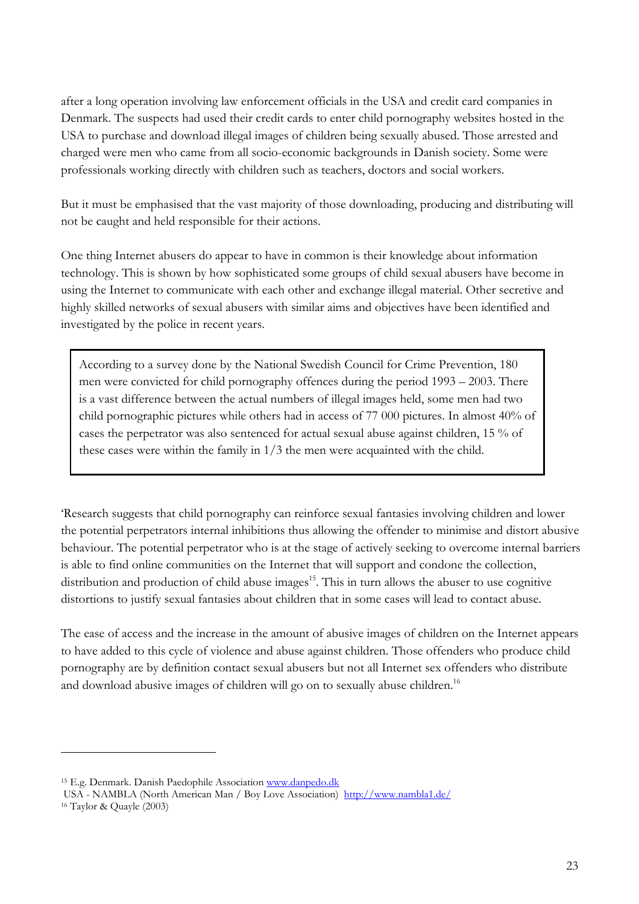after a long operation involving law enforcement officials in the USA and credit card companies in Denmark. The suspects had used their credit cards to enter child pornography websites hosted in the USA to purchase and download illegal images of children being sexually abused. Those arrested and charged were men who came from all socio-economic backgrounds in Danish society. Some were professionals working directly with children such as teachers, doctors and social workers.

But it must be emphasised that the vast majority of those downloading, producing and distributing will not be caught and held responsible for their actions.

One thing Internet abusers do appear to have in common is their knowledge about information technology. This is shown by how sophisticated some groups of child sexual abusers have become in using the Internet to communicate with each other and exchange illegal material. Other secretive and highly skilled networks of sexual abusers with similar aims and objectives have been identified and investigated by the police in recent years.

According to a survey done by the National Swedish Council for Crime Prevention, 180 men were convicted for child pornography offences during the period 1993 – 2003. There is a vast difference between the actual numbers of illegal images held, some men had two child pornographic pictures while others had in access of 77 000 pictures. In almost 40% of cases the perpetrator was also sentenced for actual sexual abuse against children, 15 % of these cases were within the family in 1/3 the men were acquainted with the child.

'Research suggests that child pornography can reinforce sexual fantasies involving children and lower the potential perpetrators internal inhibitions thus allowing the offender to minimise and distort abusive behaviour. The potential perpetrator who is at the stage of actively seeking to overcome internal barriers is able to find online communities on the Internet that will support and condone the collection, distribution and production of child abuse images<sup>15</sup>. This in turn allows the abuser to use cognitive distortions to justify sexual fantasies about children that in some cases will lead to contact abuse.

The ease of access and the increase in the amount of abusive images of children on the Internet appears to have added to this cycle of violence and abuse against children. Those offenders who produce child pornography are by definition contact sexual abusers but not all Internet sex offenders who distribute and download abusive images of children will go on to sexually abuse children.<sup>16</sup>

<sup>&</sup>lt;sup>15</sup> E.g. Denmark. Danish Paedophile Association www.danpedo.dk

USA - NAMBLA (North American Man / Boy Love Association) http://www.nambla1.de/ 16 Taylor & Quayle (2003)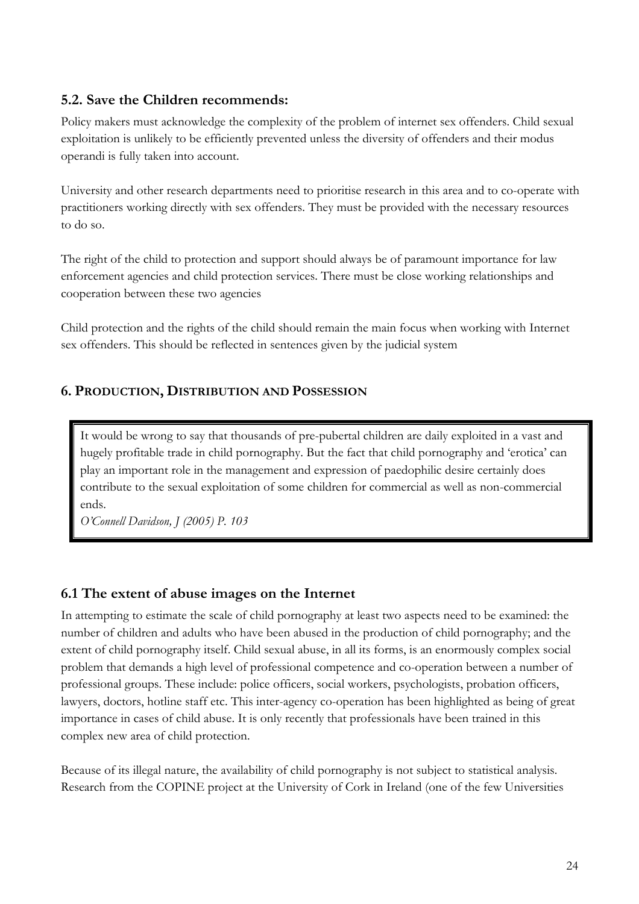## **5.2. Save the Children recommends:**

Policy makers must acknowledge the complexity of the problem of internet sex offenders. Child sexual exploitation is unlikely to be efficiently prevented unless the diversity of offenders and their modus operandi is fully taken into account.

University and other research departments need to prioritise research in this area and to co-operate with practitioners working directly with sex offenders. They must be provided with the necessary resources to do so.

The right of the child to protection and support should always be of paramount importance for law enforcement agencies and child protection services. There must be close working relationships and cooperation between these two agencies

Child protection and the rights of the child should remain the main focus when working with Internet sex offenders. This should be reflected in sentences given by the judicial system

## **6. PRODUCTION, DISTRIBUTION AND POSSESSION**

It would be wrong to say that thousands of pre-pubertal children are daily exploited in a vast and hugely profitable trade in child pornography. But the fact that child pornography and 'erotica' can play an important role in the management and expression of paedophilic desire certainly does contribute to the sexual exploitation of some children for commercial as well as non-commercial ends.

*O'Connell Davidson, J (2005) P. 103* 

#### **6.1 The extent of abuse images on the Internet**

In attempting to estimate the scale of child pornography at least two aspects need to be examined: the number of children and adults who have been abused in the production of child pornography; and the extent of child pornography itself. Child sexual abuse, in all its forms, is an enormously complex social problem that demands a high level of professional competence and co-operation between a number of professional groups. These include: police officers, social workers, psychologists, probation officers, lawyers, doctors, hotline staff etc. This inter-agency co-operation has been highlighted as being of great importance in cases of child abuse. It is only recently that professionals have been trained in this complex new area of child protection.

Because of its illegal nature, the availability of child pornography is not subject to statistical analysis. Research from the COPINE project at the University of Cork in Ireland (one of the few Universities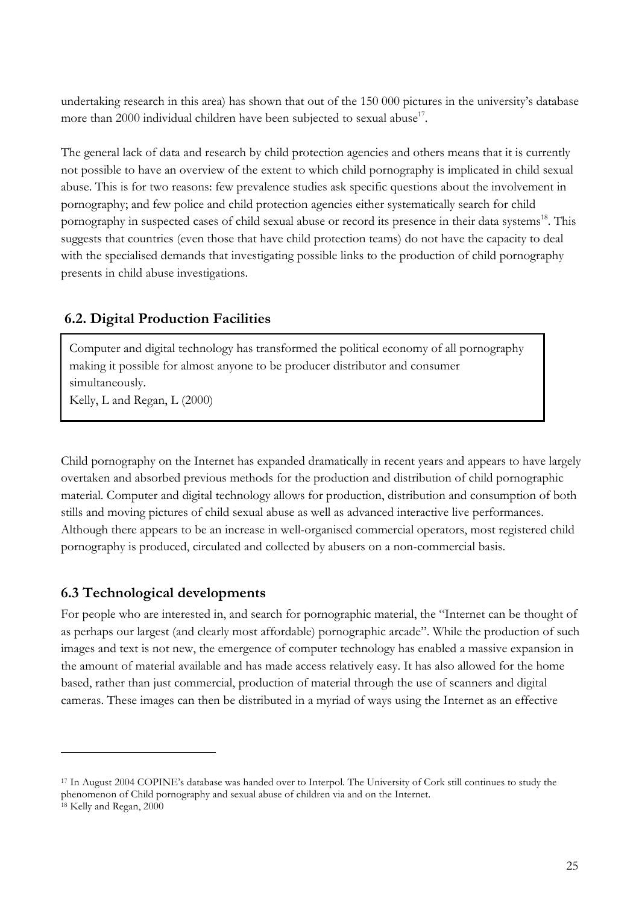undertaking research in this area) has shown that out of the 150 000 pictures in the university's database more than 2000 individual children have been subjected to sexual abuse<sup>17</sup>.

The general lack of data and research by child protection agencies and others means that it is currently not possible to have an overview of the extent to which child pornography is implicated in child sexual abuse. This is for two reasons: few prevalence studies ask specific questions about the involvement in pornography; and few police and child protection agencies either systematically search for child pornography in suspected cases of child sexual abuse or record its presence in their data systems<sup>18</sup>. This suggests that countries (even those that have child protection teams) do not have the capacity to deal with the specialised demands that investigating possible links to the production of child pornography presents in child abuse investigations.

## **6.2. Digital Production Facilities**

Computer and digital technology has transformed the political economy of all pornography making it possible for almost anyone to be producer distributor and consumer simultaneously.

Kelly, L and Regan, L (2000)

Child pornography on the Internet has expanded dramatically in recent years and appears to have largely overtaken and absorbed previous methods for the production and distribution of child pornographic material. Computer and digital technology allows for production, distribution and consumption of both stills and moving pictures of child sexual abuse as well as advanced interactive live performances. Although there appears to be an increase in well-organised commercial operators, most registered child pornography is produced, circulated and collected by abusers on a non-commercial basis.

# **6.3 Technological developments**

 $\overline{a}$ 

For people who are interested in, and search for pornographic material, the "Internet can be thought of as perhaps our largest (and clearly most affordable) pornographic arcade". While the production of such images and text is not new, the emergence of computer technology has enabled a massive expansion in the amount of material available and has made access relatively easy. It has also allowed for the home based, rather than just commercial, production of material through the use of scanners and digital cameras. These images can then be distributed in a myriad of ways using the Internet as an effective

<sup>17</sup> In August 2004 COPINE's database was handed over to Interpol. The University of Cork still continues to study the phenomenon of Child pornography and sexual abuse of children via and on the Internet. 18 Kelly and Regan, 2000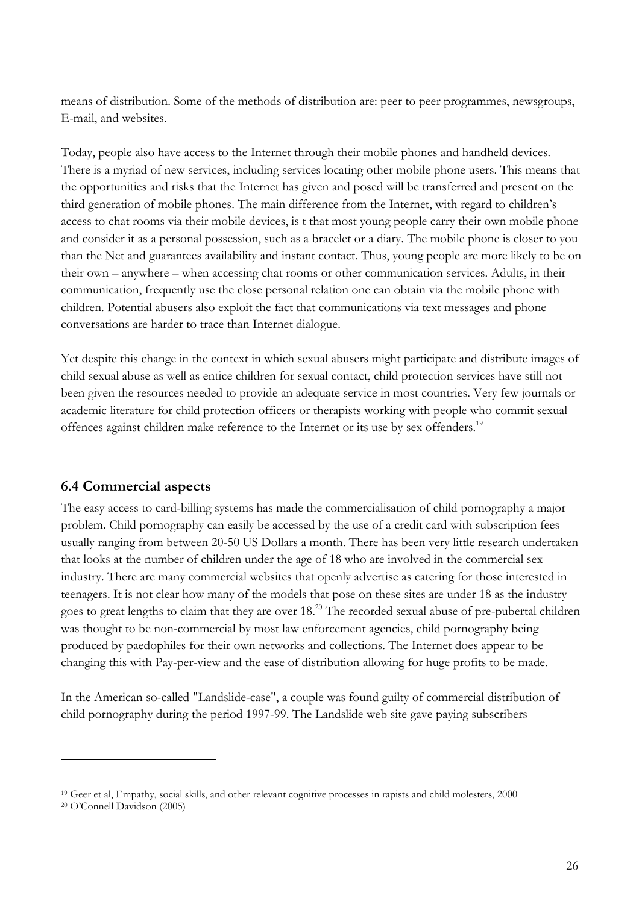means of distribution. Some of the methods of distribution are: peer to peer programmes, newsgroups, E-mail, and websites.

Today, people also have access to the Internet through their mobile phones and handheld devices. There is a myriad of new services, including services locating other mobile phone users. This means that the opportunities and risks that the Internet has given and posed will be transferred and present on the third generation of mobile phones. The main difference from the Internet, with regard to children's access to chat rooms via their mobile devices, is t that most young people carry their own mobile phone and consider it as a personal possession, such as a bracelet or a diary. The mobile phone is closer to you than the Net and guarantees availability and instant contact. Thus, young people are more likely to be on their own – anywhere – when accessing chat rooms or other communication services. Adults, in their communication, frequently use the close personal relation one can obtain via the mobile phone with children. Potential abusers also exploit the fact that communications via text messages and phone conversations are harder to trace than Internet dialogue.

Yet despite this change in the context in which sexual abusers might participate and distribute images of child sexual abuse as well as entice children for sexual contact, child protection services have still not been given the resources needed to provide an adequate service in most countries. Very few journals or academic literature for child protection officers or therapists working with people who commit sexual offences against children make reference to the Internet or its use by sex offenders.19

# **6.4 Commercial aspects**

The easy access to card-billing systems has made the commercialisation of child pornography a major problem. Child pornography can easily be accessed by the use of a credit card with subscription fees usually ranging from between 20-50 US Dollars a month. There has been very little research undertaken that looks at the number of children under the age of 18 who are involved in the commercial sex industry. There are many commercial websites that openly advertise as catering for those interested in teenagers. It is not clear how many of the models that pose on these sites are under 18 as the industry goes to great lengths to claim that they are over 18.<sup>20</sup> The recorded sexual abuse of pre-pubertal children was thought to be non-commercial by most law enforcement agencies, child pornography being produced by paedophiles for their own networks and collections. The Internet does appear to be changing this with Pay-per-view and the ease of distribution allowing for huge profits to be made.

In the American so-called "Landslide-case", a couple was found guilty of commercial distribution of child pornography during the period 1997-99. The Landslide web site gave paying subscribers

<sup>&</sup>lt;sup>19</sup> Geer et al, Empathy, social skills, and other relevant cognitive processes in rapists and child molesters, 2000 <sup>20</sup> O'Connell Davidson (2005)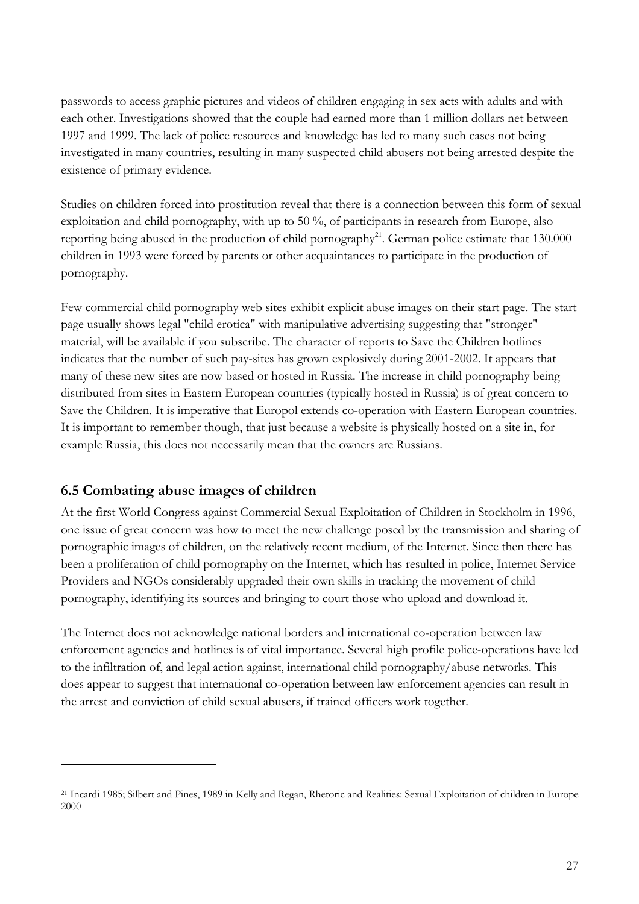passwords to access graphic pictures and videos of children engaging in sex acts with adults and with each other. Investigations showed that the couple had earned more than 1 million dollars net between 1997 and 1999. The lack of police resources and knowledge has led to many such cases not being investigated in many countries, resulting in many suspected child abusers not being arrested despite the existence of primary evidence.

Studies on children forced into prostitution reveal that there is a connection between this form of sexual exploitation and child pornography, with up to 50 %, of participants in research from Europe, also reporting being abused in the production of child pornography<sup>21</sup>. German police estimate that  $130.000$ children in 1993 were forced by parents or other acquaintances to participate in the production of pornography.

Few commercial child pornography web sites exhibit explicit abuse images on their start page. The start page usually shows legal "child erotica" with manipulative advertising suggesting that "stronger" material, will be available if you subscribe. The character of reports to Save the Children hotlines indicates that the number of such pay-sites has grown explosively during 2001-2002. It appears that many of these new sites are now based or hosted in Russia. The increase in child pornography being distributed from sites in Eastern European countries (typically hosted in Russia) is of great concern to Save the Children. It is imperative that Europol extends co-operation with Eastern European countries. It is important to remember though, that just because a website is physically hosted on a site in, for example Russia, this does not necessarily mean that the owners are Russians.

# **6.5 Combating abuse images of children**

 $\overline{a}$ 

At the first World Congress against Commercial Sexual Exploitation of Children in Stockholm in 1996, one issue of great concern was how to meet the new challenge posed by the transmission and sharing of pornographic images of children, on the relatively recent medium, of the Internet. Since then there has been a proliferation of child pornography on the Internet, which has resulted in police, Internet Service Providers and NGOs considerably upgraded their own skills in tracking the movement of child pornography, identifying its sources and bringing to court those who upload and download it.

The Internet does not acknowledge national borders and international co-operation between law enforcement agencies and hotlines is of vital importance. Several high profile police-operations have led to the infiltration of, and legal action against, international child pornography/abuse networks. This does appear to suggest that international co-operation between law enforcement agencies can result in the arrest and conviction of child sexual abusers, if trained officers work together.

<sup>21</sup> Incardi 1985; Silbert and Pines, 1989 in Kelly and Regan, Rhetoric and Realities: Sexual Exploitation of children in Europe 2000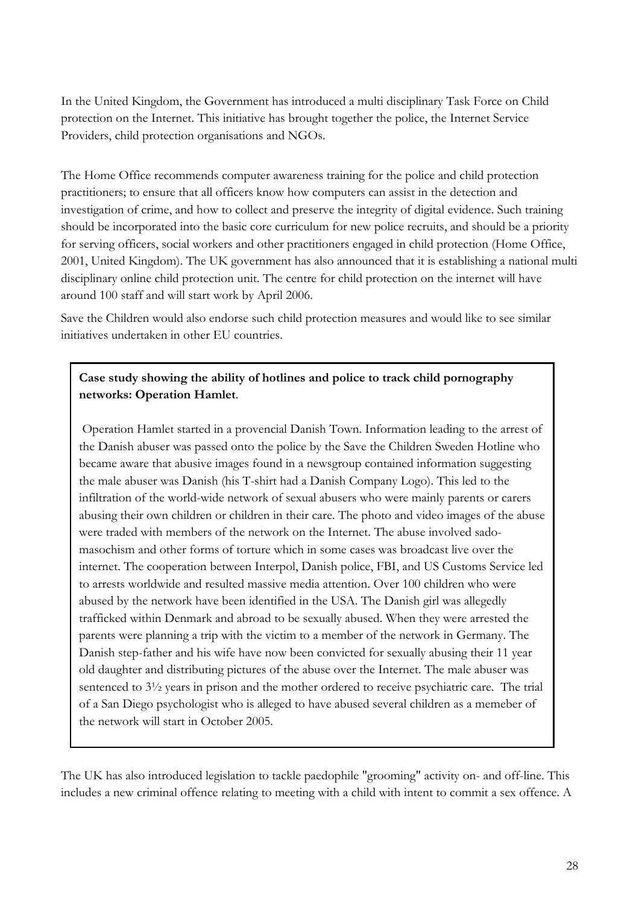In the United Kingdom, the Government has introduced a multi disciplinary Task Force on Child protection on the Internet. This initiative has brought together the police, the Internet Service Providers, child protection organisations and NGOs.

The Home Office recommends computer awareness training for the police and child protection practitioners; to ensure that all officers know how computers can assist in the detection and investigation of crime, and how to collect and preserve the integrity of digital evidence. Such training should be incorporated into the basic core curriculum for new police recruits, and should be a priority for serving officers, social workers and other practitioners engaged in child protection (Home Office, 2001, United Kingdom). The UK government has also announced that it is establishing a national multi disciplinary online child protection unit. The centre for child protection on the internet will have around 100 staff and will start work by April 2006.

Save the Children would also endorse such child protection measures and would like to see similar initiatives undertaken in other EU countries.

## **Case study showing the ability of hotlines and police to track child pornography networks: Operation Hamlet**.

 Operation Hamlet started in a provencial Danish Town. Information leading to the arrest of the Danish abuser was passed onto the police by the Save the Children Sweden Hotline who became aware that abusive images found in a newsgroup contained information suggesting the male abuser was Danish (his T-shirt had a Danish Company Logo). This led to the infiltration of the world-wide network of sexual abusers who were mainly parents or carers abusing their own children or children in their care. The photo and video images of the abuse were traded with members of the network on the Internet. The abuse involved sadomasochism and other forms of torture which in some cases was broadcast live over the internet. The cooperation between Interpol, Danish police, FBI, and US Customs Service led to arrests worldwide and resulted massive media attention. Over 100 children who were abused by the network have been identified in the USA. The Danish girl was allegedly trafficked within Denmark and abroad to be sexually abused. When they were arrested the parents were planning a trip with the victim to a member of the network in Germany. The Danish step-father and his wife have now been convicted for sexually abusing their 11 year old daughter and distributing pictures of the abuse over the Internet. The male abuser was sentenced to 3½ years in prison and the mother ordered to receive psychiatric care. The trial of a San Diego psychologist who is alleged to have abused several children as a memeber of the network will start in October 2005.

The UK has also introduced legislation to tackle paedophile "grooming" activity on- and off-line. This includes a new criminal offence relating to meeting with a child with intent to commit a sex offence. A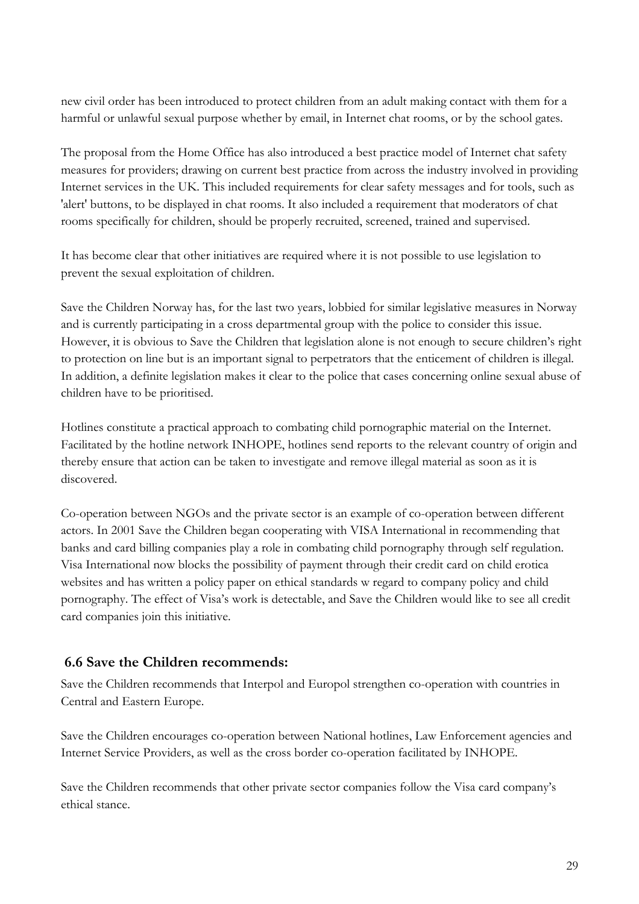new civil order has been introduced to protect children from an adult making contact with them for a harmful or unlawful sexual purpose whether by email, in Internet chat rooms, or by the school gates.

The proposal from the Home Office has also introduced a best practice model of Internet chat safety measures for providers; drawing on current best practice from across the industry involved in providing Internet services in the UK. This included requirements for clear safety messages and for tools, such as 'alert' buttons, to be displayed in chat rooms. It also included a requirement that moderators of chat rooms specifically for children, should be properly recruited, screened, trained and supervised.

It has become clear that other initiatives are required where it is not possible to use legislation to prevent the sexual exploitation of children.

Save the Children Norway has, for the last two years, lobbied for similar legislative measures in Norway and is currently participating in a cross departmental group with the police to consider this issue. However, it is obvious to Save the Children that legislation alone is not enough to secure children's right to protection on line but is an important signal to perpetrators that the enticement of children is illegal. In addition, a definite legislation makes it clear to the police that cases concerning online sexual abuse of children have to be prioritised.

Hotlines constitute a practical approach to combating child pornographic material on the Internet. Facilitated by the hotline network INHOPE, hotlines send reports to the relevant country of origin and thereby ensure that action can be taken to investigate and remove illegal material as soon as it is discovered.

Co-operation between NGOs and the private sector is an example of co-operation between different actors. In 2001 Save the Children began cooperating with VISA International in recommending that banks and card billing companies play a role in combating child pornography through self regulation. Visa International now blocks the possibility of payment through their credit card on child erotica websites and has written a policy paper on ethical standards w regard to company policy and child pornography. The effect of Visa's work is detectable, and Save the Children would like to see all credit card companies join this initiative.

# **6.6 Save the Children recommends:**

Save the Children recommends that Interpol and Europol strengthen co-operation with countries in Central and Eastern Europe.

Save the Children encourages co-operation between National hotlines, Law Enforcement agencies and Internet Service Providers, as well as the cross border co-operation facilitated by INHOPE.

Save the Children recommends that other private sector companies follow the Visa card company's ethical stance.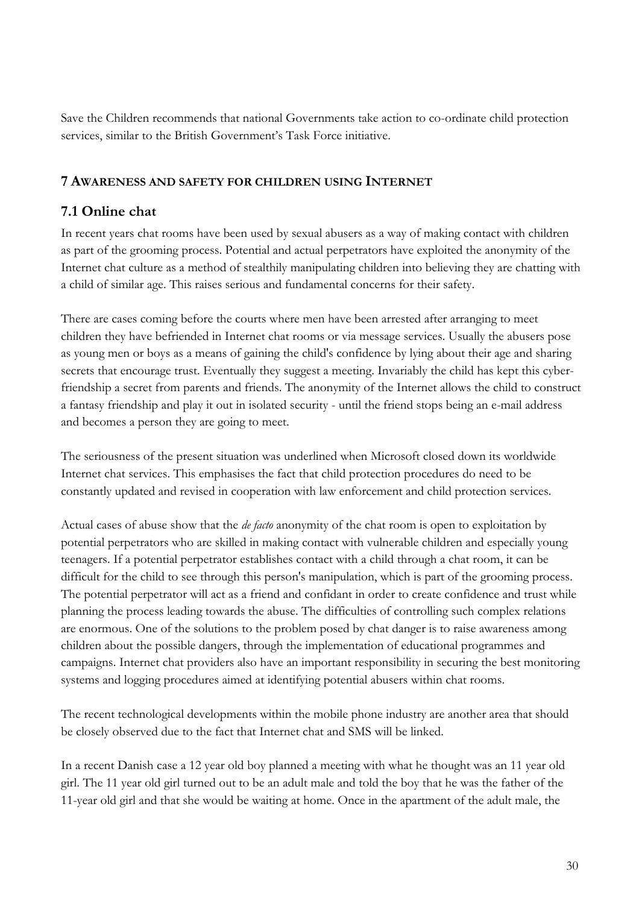Save the Children recommends that national Governments take action to co-ordinate child protection services, similar to the British Government's Task Force initiative.

#### **7 AWARENESS AND SAFETY FOR CHILDREN USING INTERNET**

## **7.1 Online chat**

In recent years chat rooms have been used by sexual abusers as a way of making contact with children as part of the grooming process. Potential and actual perpetrators have exploited the anonymity of the Internet chat culture as a method of stealthily manipulating children into believing they are chatting with a child of similar age. This raises serious and fundamental concerns for their safety.

There are cases coming before the courts where men have been arrested after arranging to meet children they have befriended in Internet chat rooms or via message services. Usually the abusers pose as young men or boys as a means of gaining the child's confidence by lying about their age and sharing secrets that encourage trust. Eventually they suggest a meeting. Invariably the child has kept this cyberfriendship a secret from parents and friends. The anonymity of the Internet allows the child to construct a fantasy friendship and play it out in isolated security - until the friend stops being an e-mail address and becomes a person they are going to meet.

The seriousness of the present situation was underlined when Microsoft closed down its worldwide Internet chat services. This emphasises the fact that child protection procedures do need to be constantly updated and revised in cooperation with law enforcement and child protection services.

Actual cases of abuse show that the *de facto* anonymity of the chat room is open to exploitation by potential perpetrators who are skilled in making contact with vulnerable children and especially young teenagers. If a potential perpetrator establishes contact with a child through a chat room, it can be difficult for the child to see through this person's manipulation, which is part of the grooming process. The potential perpetrator will act as a friend and confidant in order to create confidence and trust while planning the process leading towards the abuse. The difficulties of controlling such complex relations are enormous. One of the solutions to the problem posed by chat danger is to raise awareness among children about the possible dangers, through the implementation of educational programmes and campaigns. Internet chat providers also have an important responsibility in securing the best monitoring systems and logging procedures aimed at identifying potential abusers within chat rooms.

The recent technological developments within the mobile phone industry are another area that should be closely observed due to the fact that Internet chat and SMS will be linked.

In a recent Danish case a 12 year old boy planned a meeting with what he thought was an 11 year old girl. The 11 year old girl turned out to be an adult male and told the boy that he was the father of the 11-year old girl and that she would be waiting at home. Once in the apartment of the adult male, the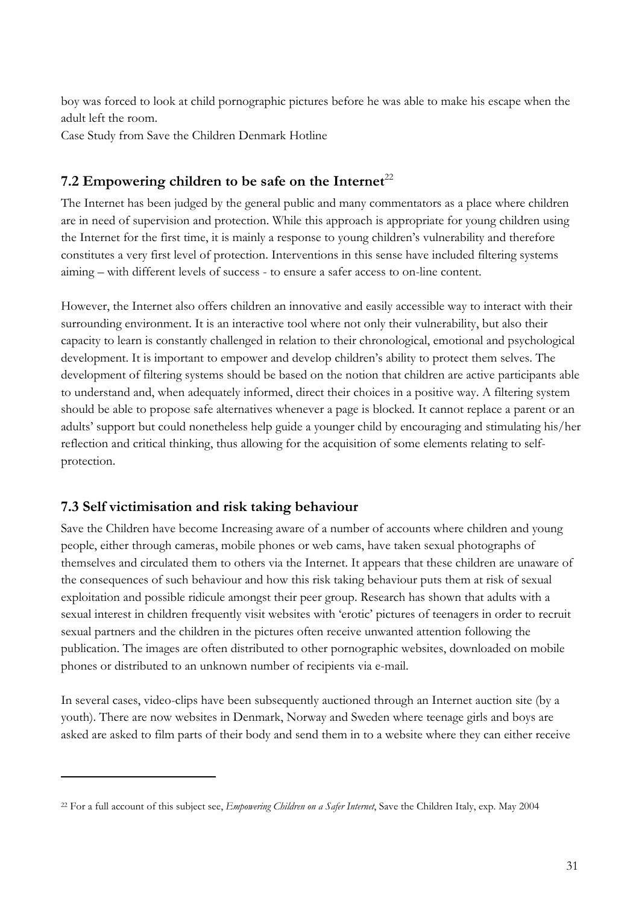boy was forced to look at child pornographic pictures before he was able to make his escape when the adult left the room.

Case Study from Save the Children Denmark Hotline

# 7.2 Empowering children to be safe on the Internet<sup>22</sup>

The Internet has been judged by the general public and many commentators as a place where children are in need of supervision and protection. While this approach is appropriate for young children using the Internet for the first time, it is mainly a response to young children's vulnerability and therefore constitutes a very first level of protection. Interventions in this sense have included filtering systems aiming – with different levels of success - to ensure a safer access to on-line content.

However, the Internet also offers children an innovative and easily accessible way to interact with their surrounding environment. It is an interactive tool where not only their vulnerability, but also their capacity to learn is constantly challenged in relation to their chronological, emotional and psychological development. It is important to empower and develop children's ability to protect them selves. The development of filtering systems should be based on the notion that children are active participants able to understand and, when adequately informed, direct their choices in a positive way. A filtering system should be able to propose safe alternatives whenever a page is blocked. It cannot replace a parent or an adults' support but could nonetheless help guide a younger child by encouraging and stimulating his/her reflection and critical thinking, thus allowing for the acquisition of some elements relating to selfprotection.

# **7.3 Self victimisation and risk taking behaviour**

 $\overline{a}$ 

Save the Children have become Increasing aware of a number of accounts where children and young people, either through cameras, mobile phones or web cams, have taken sexual photographs of themselves and circulated them to others via the Internet. It appears that these children are unaware of the consequences of such behaviour and how this risk taking behaviour puts them at risk of sexual exploitation and possible ridicule amongst their peer group. Research has shown that adults with a sexual interest in children frequently visit websites with 'erotic' pictures of teenagers in order to recruit sexual partners and the children in the pictures often receive unwanted attention following the publication. The images are often distributed to other pornographic websites, downloaded on mobile phones or distributed to an unknown number of recipients via e-mail.

In several cases, video-clips have been subsequently auctioned through an Internet auction site (by a youth). There are now websites in Denmark, Norway and Sweden where teenage girls and boys are asked are asked to film parts of their body and send them in to a website where they can either receive

<sup>22</sup> For a full account of this subject see, *Empowering Children on a Safer Internet*, Save the Children Italy, exp. May 2004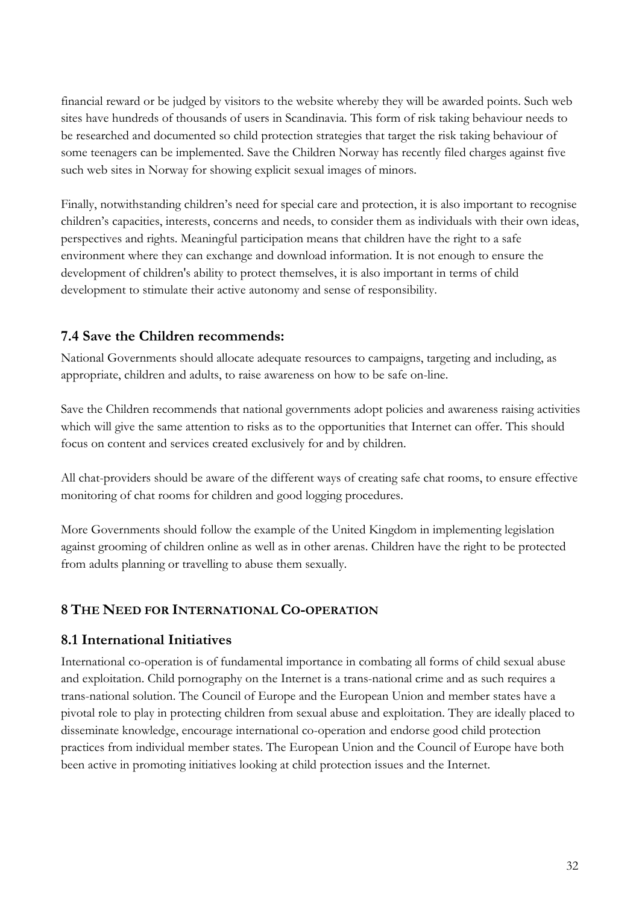financial reward or be judged by visitors to the website whereby they will be awarded points. Such web sites have hundreds of thousands of users in Scandinavia. This form of risk taking behaviour needs to be researched and documented so child protection strategies that target the risk taking behaviour of some teenagers can be implemented. Save the Children Norway has recently filed charges against five such web sites in Norway for showing explicit sexual images of minors.

Finally, notwithstanding children's need for special care and protection, it is also important to recognise children's capacities, interests, concerns and needs, to consider them as individuals with their own ideas, perspectives and rights. Meaningful participation means that children have the right to a safe environment where they can exchange and download information. It is not enough to ensure the development of children's ability to protect themselves, it is also important in terms of child development to stimulate their active autonomy and sense of responsibility.

# **7.4 Save the Children recommends:**

National Governments should allocate adequate resources to campaigns, targeting and including, as appropriate, children and adults, to raise awareness on how to be safe on-line.

Save the Children recommends that national governments adopt policies and awareness raising activities which will give the same attention to risks as to the opportunities that Internet can offer. This should focus on content and services created exclusively for and by children.

All chat-providers should be aware of the different ways of creating safe chat rooms, to ensure effective monitoring of chat rooms for children and good logging procedures.

More Governments should follow the example of the United Kingdom in implementing legislation against grooming of children online as well as in other arenas. Children have the right to be protected from adults planning or travelling to abuse them sexually.

# **8 THE NEED FOR INTERNATIONAL CO-OPERATION**

# **8.1 International Initiatives**

International co-operation is of fundamental importance in combating all forms of child sexual abuse and exploitation. Child pornography on the Internet is a trans-national crime and as such requires a trans-national solution. The Council of Europe and the European Union and member states have a pivotal role to play in protecting children from sexual abuse and exploitation. They are ideally placed to disseminate knowledge, encourage international co-operation and endorse good child protection practices from individual member states. The European Union and the Council of Europe have both been active in promoting initiatives looking at child protection issues and the Internet.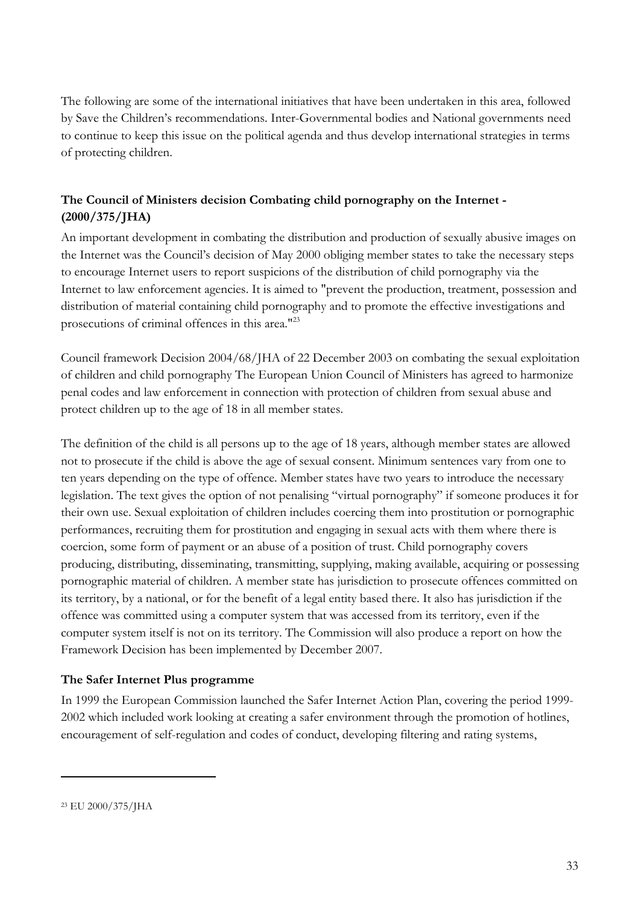The following are some of the international initiatives that have been undertaken in this area, followed by Save the Children's recommendations. Inter-Governmental bodies and National governments need to continue to keep this issue on the political agenda and thus develop international strategies in terms of protecting children.

## **The Council of Ministers decision Combating child pornography on the Internet - (2000/375/JHA)**

An important development in combating the distribution and production of sexually abusive images on the Internet was the Council's decision of May 2000 obliging member states to take the necessary steps to encourage Internet users to report suspicions of the distribution of child pornography via the Internet to law enforcement agencies. It is aimed to "prevent the production, treatment, possession and distribution of material containing child pornography and to promote the effective investigations and prosecutions of criminal offences in this area."23

Council framework Decision 2004/68/JHA of 22 December 2003 on combating the sexual exploitation of children and child pornography The European Union Council of Ministers has agreed to harmonize penal codes and law enforcement in connection with protection of children from sexual abuse and protect children up to the age of 18 in all member states.

The definition of the child is all persons up to the age of 18 years, although member states are allowed not to prosecute if the child is above the age of sexual consent. Minimum sentences vary from one to ten years depending on the type of offence. Member states have two years to introduce the necessary legislation. The text gives the option of not penalising "virtual pornography" if someone produces it for their own use. Sexual exploitation of children includes coercing them into prostitution or pornographic performances, recruiting them for prostitution and engaging in sexual acts with them where there is coercion, some form of payment or an abuse of a position of trust. Child pornography covers producing, distributing, disseminating, transmitting, supplying, making available, acquiring or possessing pornographic material of children. A member state has jurisdiction to prosecute offences committed on its territory, by a national, or for the benefit of a legal entity based there. It also has jurisdiction if the offence was committed using a computer system that was accessed from its territory, even if the computer system itself is not on its territory. The Commission will also produce a report on how the Framework Decision has been implemented by December 2007.

#### **The Safer Internet Plus programme**

In 1999 the European Commission launched the Safer Internet Action Plan, covering the period 1999- 2002 which included work looking at creating a safer environment through the promotion of hotlines, encouragement of self-regulation and codes of conduct, developing filtering and rating systems,

<sup>23</sup> EU 2000/375/JHA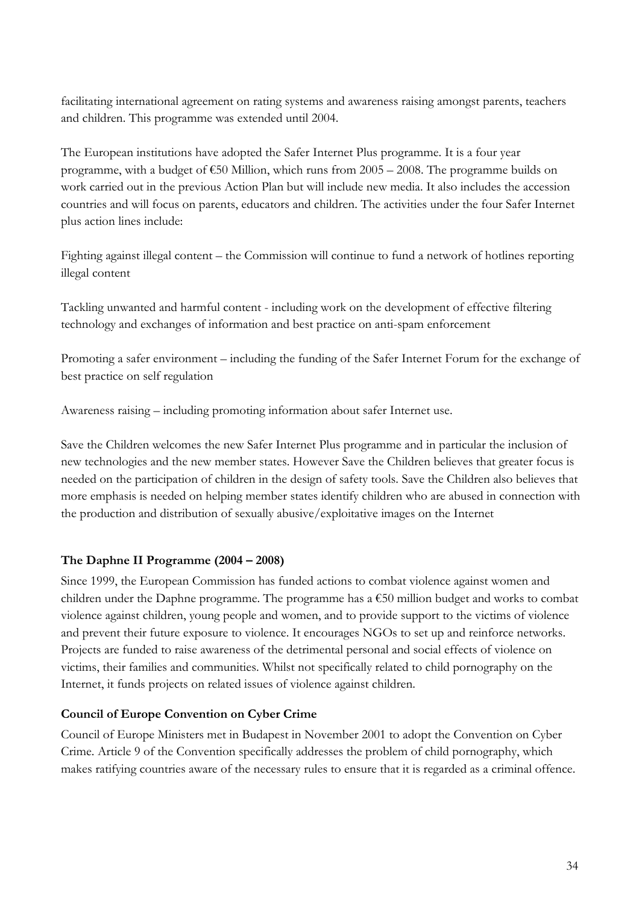facilitating international agreement on rating systems and awareness raising amongst parents, teachers and children. This programme was extended until 2004.

The European institutions have adopted the Safer Internet Plus programme. It is a four year programme, with a budget of  $\epsilon$ 50 Million, which runs from 2005 – 2008. The programme builds on work carried out in the previous Action Plan but will include new media. It also includes the accession countries and will focus on parents, educators and children. The activities under the four Safer Internet plus action lines include:

Fighting against illegal content – the Commission will continue to fund a network of hotlines reporting illegal content

Tackling unwanted and harmful content - including work on the development of effective filtering technology and exchanges of information and best practice on anti-spam enforcement

Promoting a safer environment – including the funding of the Safer Internet Forum for the exchange of best practice on self regulation

Awareness raising – including promoting information about safer Internet use.

Save the Children welcomes the new Safer Internet Plus programme and in particular the inclusion of new technologies and the new member states. However Save the Children believes that greater focus is needed on the participation of children in the design of safety tools. Save the Children also believes that more emphasis is needed on helping member states identify children who are abused in connection with the production and distribution of sexually abusive/exploitative images on the Internet

#### **The Daphne II Programme (2004 – 2008)**

Since 1999, the European Commission has funded actions to combat violence against women and children under the Daphne programme. The programme has a  $\epsilon$ 50 million budget and works to combat violence against children, young people and women, and to provide support to the victims of violence and prevent their future exposure to violence. It encourages NGOs to set up and reinforce networks. Projects are funded to raise awareness of the detrimental personal and social effects of violence on victims, their families and communities. Whilst not specifically related to child pornography on the Internet, it funds projects on related issues of violence against children.

#### **Council of Europe Convention on Cyber Crime**

Council of Europe Ministers met in Budapest in November 2001 to adopt the Convention on Cyber Crime. Article 9 of the Convention specifically addresses the problem of child pornography, which makes ratifying countries aware of the necessary rules to ensure that it is regarded as a criminal offence.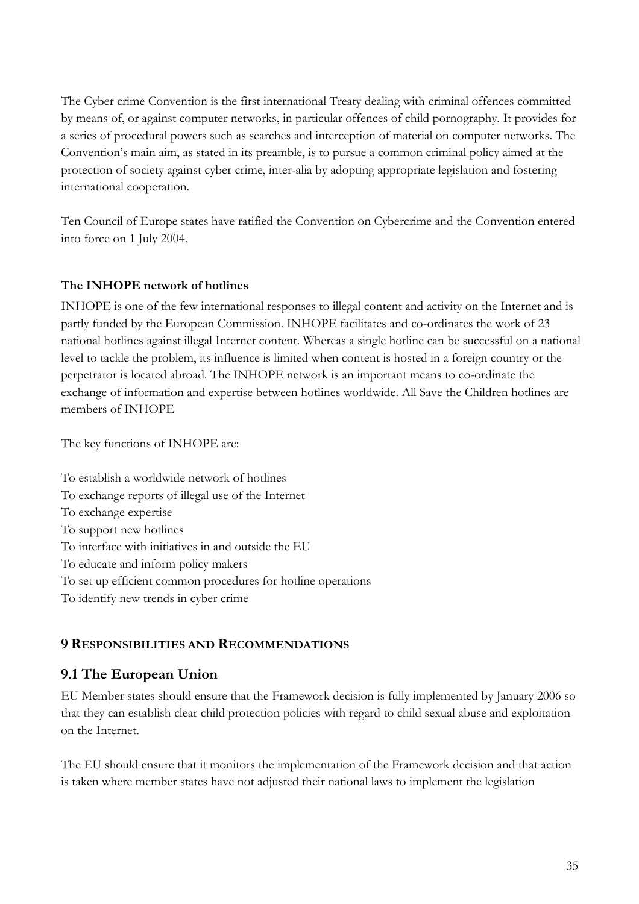The Cyber crime Convention is the first international Treaty dealing with criminal offences committed by means of, or against computer networks, in particular offences of child pornography. It provides for a series of procedural powers such as searches and interception of material on computer networks. The Convention's main aim, as stated in its preamble, is to pursue a common criminal policy aimed at the protection of society against cyber crime, inter-alia by adopting appropriate legislation and fostering international cooperation.

Ten Council of Europe states have ratified the Convention on Cybercrime and the Convention entered into force on 1 July 2004.

#### **The INHOPE network of hotlines**

INHOPE is one of the few international responses to illegal content and activity on the Internet and is partly funded by the European Commission. INHOPE facilitates and co-ordinates the work of 23 national hotlines against illegal Internet content. Whereas a single hotline can be successful on a national level to tackle the problem, its influence is limited when content is hosted in a foreign country or the perpetrator is located abroad. The INHOPE network is an important means to co-ordinate the exchange of information and expertise between hotlines worldwide. All Save the Children hotlines are members of INHOPE

The key functions of INHOPE are:

To establish a worldwide network of hotlines To exchange reports of illegal use of the Internet To exchange expertise To support new hotlines To interface with initiatives in and outside the EU To educate and inform policy makers To set up efficient common procedures for hotline operations To identify new trends in cyber crime

#### **9 RESPONSIBILITIES AND RECOMMENDATIONS**

#### **9.1 The European Union**

EU Member states should ensure that the Framework decision is fully implemented by January 2006 so that they can establish clear child protection policies with regard to child sexual abuse and exploitation on the Internet.

The EU should ensure that it monitors the implementation of the Framework decision and that action is taken where member states have not adjusted their national laws to implement the legislation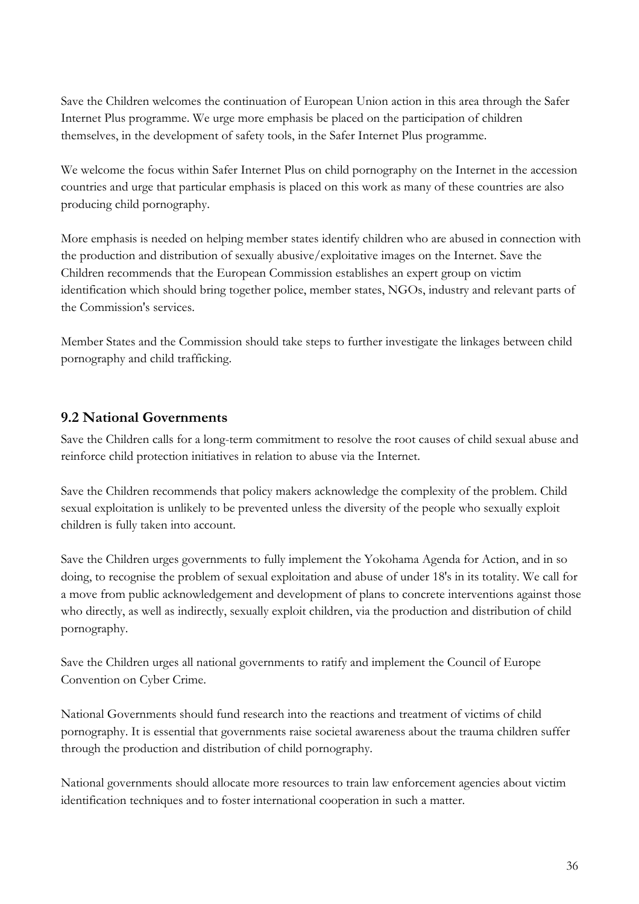Save the Children welcomes the continuation of European Union action in this area through the Safer Internet Plus programme. We urge more emphasis be placed on the participation of children themselves, in the development of safety tools, in the Safer Internet Plus programme.

We welcome the focus within Safer Internet Plus on child pornography on the Internet in the accession countries and urge that particular emphasis is placed on this work as many of these countries are also producing child pornography.

More emphasis is needed on helping member states identify children who are abused in connection with the production and distribution of sexually abusive/exploitative images on the Internet. Save the Children recommends that the European Commission establishes an expert group on victim identification which should bring together police, member states, NGOs, industry and relevant parts of the Commission's services.

Member States and the Commission should take steps to further investigate the linkages between child pornography and child trafficking.

## **9.2 National Governments**

Save the Children calls for a long-term commitment to resolve the root causes of child sexual abuse and reinforce child protection initiatives in relation to abuse via the Internet.

Save the Children recommends that policy makers acknowledge the complexity of the problem. Child sexual exploitation is unlikely to be prevented unless the diversity of the people who sexually exploit children is fully taken into account.

Save the Children urges governments to fully implement the Yokohama Agenda for Action, and in so doing, to recognise the problem of sexual exploitation and abuse of under 18's in its totality. We call for a move from public acknowledgement and development of plans to concrete interventions against those who directly, as well as indirectly, sexually exploit children, via the production and distribution of child pornography.

Save the Children urges all national governments to ratify and implement the Council of Europe Convention on Cyber Crime.

National Governments should fund research into the reactions and treatment of victims of child pornography. It is essential that governments raise societal awareness about the trauma children suffer through the production and distribution of child pornography.

National governments should allocate more resources to train law enforcement agencies about victim identification techniques and to foster international cooperation in such a matter.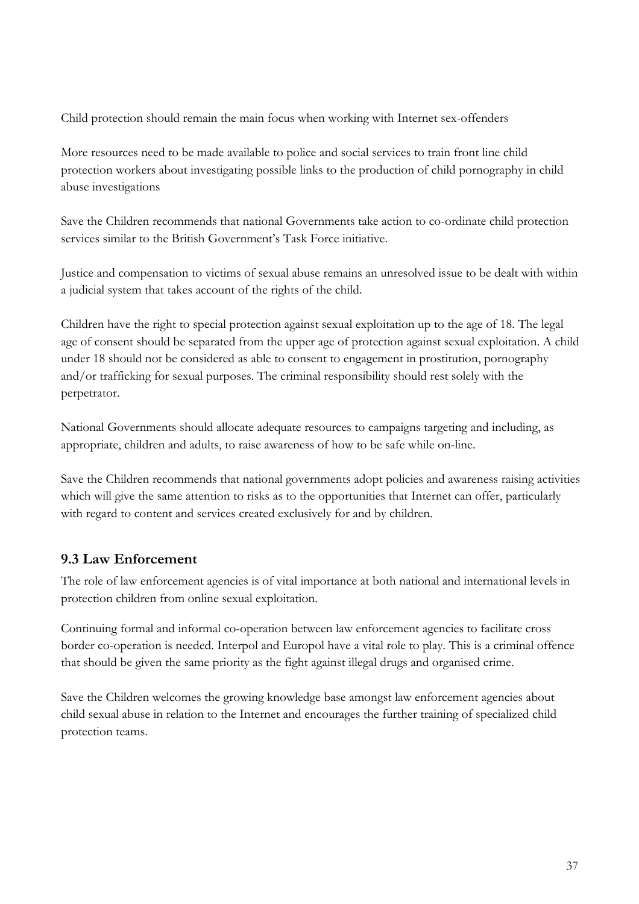Child protection should remain the main focus when working with Internet sex-offenders

More resources need to be made available to police and social services to train front line child protection workers about investigating possible links to the production of child pornography in child abuse investigations

Save the Children recommends that national Governments take action to co-ordinate child protection services similar to the British Government's Task Force initiative.

Justice and compensation to victims of sexual abuse remains an unresolved issue to be dealt with within a judicial system that takes account of the rights of the child.

Children have the right to special protection against sexual exploitation up to the age of 18. The legal age of consent should be separated from the upper age of protection against sexual exploitation. A child under 18 should not be considered as able to consent to engagement in prostitution, pornography and/or trafficking for sexual purposes. The criminal responsibility should rest solely with the perpetrator.

National Governments should allocate adequate resources to campaigns targeting and including, as appropriate, children and adults, to raise awareness of how to be safe while on-line.

Save the Children recommends that national governments adopt policies and awareness raising activities which will give the same attention to risks as to the opportunities that Internet can offer, particularly with regard to content and services created exclusively for and by children.

# **9.3 Law Enforcement**

The role of law enforcement agencies is of vital importance at both national and international levels in protection children from online sexual exploitation.

Continuing formal and informal co-operation between law enforcement agencies to facilitate cross border co-operation is needed. Interpol and Europol have a vital role to play. This is a criminal offence that should be given the same priority as the fight against illegal drugs and organised crime.

Save the Children welcomes the growing knowledge base amongst law enforcement agencies about child sexual abuse in relation to the Internet and encourages the further training of specialized child protection teams.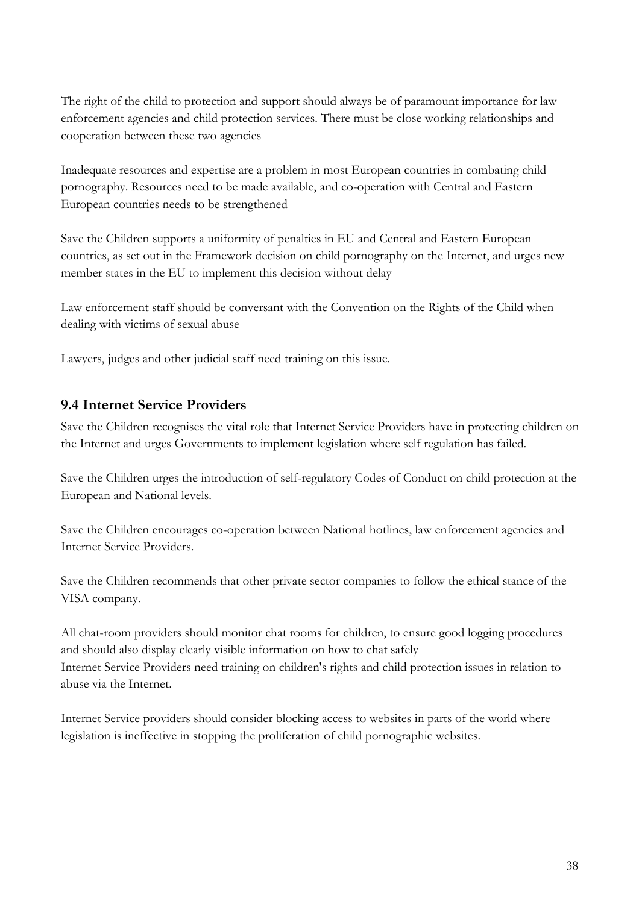The right of the child to protection and support should always be of paramount importance for law enforcement agencies and child protection services. There must be close working relationships and cooperation between these two agencies

Inadequate resources and expertise are a problem in most European countries in combating child pornography. Resources need to be made available, and co-operation with Central and Eastern European countries needs to be strengthened

Save the Children supports a uniformity of penalties in EU and Central and Eastern European countries, as set out in the Framework decision on child pornography on the Internet, and urges new member states in the EU to implement this decision without delay

Law enforcement staff should be conversant with the Convention on the Rights of the Child when dealing with victims of sexual abuse

Lawyers, judges and other judicial staff need training on this issue.

## **9.4 Internet Service Providers**

Save the Children recognises the vital role that Internet Service Providers have in protecting children on the Internet and urges Governments to implement legislation where self regulation has failed.

Save the Children urges the introduction of self-regulatory Codes of Conduct on child protection at the European and National levels.

Save the Children encourages co-operation between National hotlines, law enforcement agencies and Internet Service Providers.

Save the Children recommends that other private sector companies to follow the ethical stance of the VISA company.

All chat-room providers should monitor chat rooms for children, to ensure good logging procedures and should also display clearly visible information on how to chat safely Internet Service Providers need training on children's rights and child protection issues in relation to abuse via the Internet.

Internet Service providers should consider blocking access to websites in parts of the world where legislation is ineffective in stopping the proliferation of child pornographic websites.